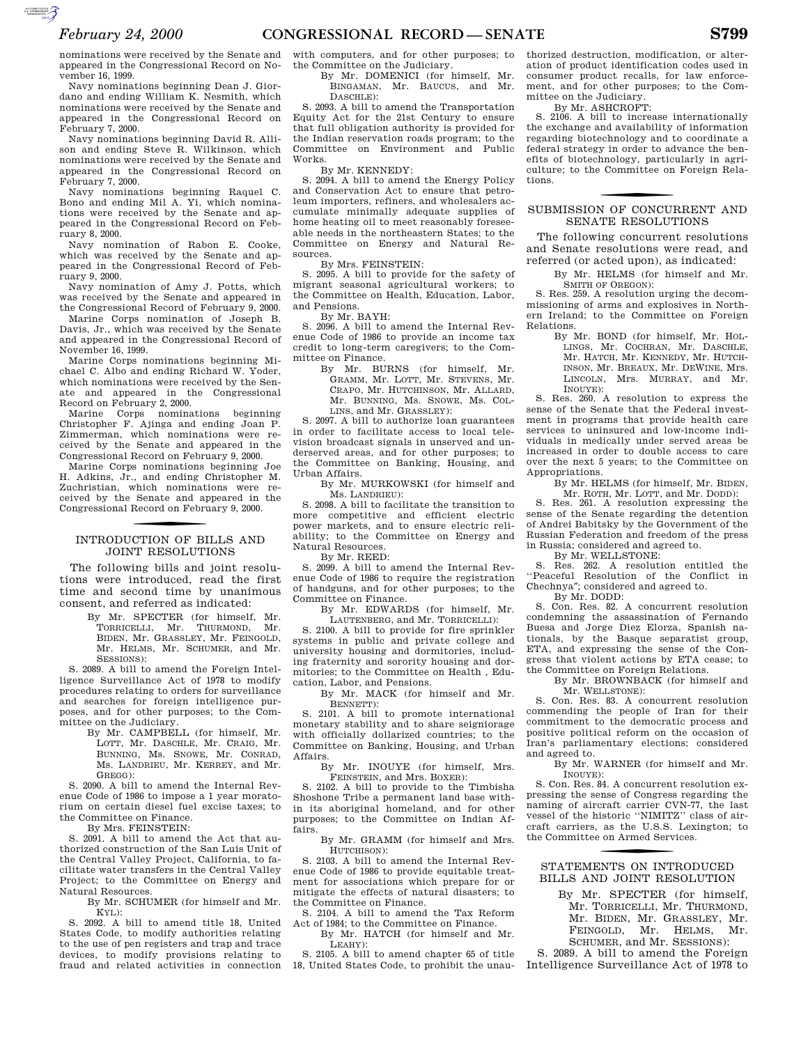nominations were received by the Senate and appeared in the Congressional Record on November 16, 1999.

Navy nominations beginning Dean J. Giordano and ending William K. Nesmith, which nominations were received by the Senate and appeared in the Congressional Record on February 7, 2000.

Navy nominations beginning David R. Allison and ending Steve R. Wilkinson, which nominations were received by the Senate and appeared in the Congressional Record on February 7, 2000.

Navy nominations beginning Raquel C. Bono and ending Mil A. Yi, which nominations were received by the Senate and appeared in the Congressional Record on February 8, 2000.

Navy nomination of Rabon E. Cooke, which was received by the Senate and appeared in the Congressional Record of February 9, 2000.

Navy nomination of Amy J. Potts, which was received by the Senate and appeared in the Congressional Record of February 9, 2000.

Marine Corps nomination of Joseph B. Davis, Jr., which was received by the Senate and appeared in the Congressional Record of November 16, 1999.

Marine Corps nominations beginning Michael C. Albo and ending Richard W. Yoder, which nominations were received by the Senate and appeared in the Congressional Record on February 2, 2000.

Marine Corps nominations beginning Christopher F. Ajinga and ending Joan P. Zimmerman, which nominations were received by the Senate and appeared in the Congressional Record on February 9, 2000.

Marine Corps nominations beginning Joe H. Adkins, Jr., and ending Christopher M. Zuchristian, which nominations were received by the Senate and appeared in the Congressional Record on February 9, 2000.

# f INTRODUCTION OF BILLS AND JOINT RESOLUTIONS

The following bills and joint resolutions were introduced, read the first time and second time by unanimous consent, and referred as indicated:

> By Mr. SPECTER (for himself, Mr. TORRICELLI, Mr. THURMOND, Mr. TORRICELLI, Mr. BIDEN, Mr. GRASSLEY, Mr. FEINGOLD, Mr. HELMS, Mr. SCHUMER, and Mr. SESSIONS):

S. 2089. A bill to amend the Foreign Intelligence Surveillance Act of 1978 to modify procedures relating to orders for surveillance and searches for foreign intelligence purposes, and for other purposes; to the Committee on the Judiciary.

By Mr. CAMPBELL (for himself, Mr. LOTT, Mr. DASCHLE, Mr. CRAIG, Mr. BUNNING, Ms. SNOWE, Mr. CONRAD, Ms. LANDRIEU, Mr. KERREY, and Mr. GREGG):

S. 2090. A bill to amend the Internal Revenue Code of 1986 to impose a 1 year moratorium on certain diesel fuel excise taxes; to the Committee on Finance.

By Mrs. FEINSTEIN:

S. 2091. A bill to amend the Act that authorized construction of the San Luis Unit of the Central Valley Project, California, to facilitate water transfers in the Central Valley Project; to the Committee on Energy and Natural Resources.

By Mr. SCHUMER (for himself and Mr. KYL):

S. 2092. A bill to amend title 18, United States Code, to modify authorities relating to the use of pen registers and trap and trace devices, to modify provisions relating to fraud and related activities in connection with computers, and for other purposes; to the Committee on the Judiciary.

By Mr. DOMENICI (for himself, Mr. BINGAMAN, Mr. BAUCUS, and Mr. DASCHLE):

S. 2093. A bill to amend the Transportation Equity Act for the 21st Century to ensure that full obligation authority is provided for the Indian reservation roads program; to the Committee on Environment and Public Works.

By Mr. KENNEDY:

S. 2094. A bill to amend the Energy Policy and Conservation Act to ensure that petroleum importers, refiners, and wholesalers accumulate minimally adequate supplies of home heating oil to meet reasonably foreseeable needs in the northeastern States; to the Committee on Energy and Natural Resources.

By Mrs. FEINSTEIN:

S. 2095. A bill to provide for the safety of migrant seasonal agricultural workers; to the Committee on Health, Education, Labor, and Pensions.

By Mr. BAYH:

S. 2096. A bill to amend the Internal Revenue Code of 1986 to provide an income tax credit to long-term caregivers; to the Committee on Finance.

By Mr. BURNS (for himself, Mr. GRAMM, Mr. LOTT, Mr. STEVENS, Mr. CRAPO, Mr. HUTCHINSON, Mr. ALLARD, Mr. BUNNING, Ms. SNOWE, Ms. COL-LINS, and Mr. GRASSLEY):

S. 2097. A bill to authorize loan guarantees in order to facilitate access to local television broadcast signals in unserved and underserved areas, and for other purposes; to the Committee on Banking, Housing, and Urban Affairs.

By Mr. MURKOWSKI (for himself and Ms. LANDRIEU):

S. 2098. A bill to facilitate the transition to more competitive and efficient electric power markets, and to ensure electric reliability; to the Committee on Energy and Natural Resources.

By Mr. REED:

S. 2099. A bill to amend the Internal Revenue Code of 1986 to require the registration of handguns, and for other purposes; to the Committee on Finance.

By Mr. EDWARDS (for himself, Mr. LAUTENBERG, and Mr. TORRICELLI):

S. 2100. A bill to provide for fire sprinkler systems in public and private college and university housing and dormitories, including fraternity and sorority housing and dormitories; to the Committee on Health , Education, Labor, and Pensions.

By Mr. MACK (for himself and Mr. BENNETT):

S. 2101. A bill to promote international monetary stability and to share seigniorage with officially dollarized countries; to the Committee on Banking, Housing, and Urban Affairs.

By Mr. INOUYE (for himself, Mrs. FEINSTEIN, and Mrs. BOXER):

S. 2102. A bill to provide to the Timbisha Shoshone Tribe a permanent land base within its aboriginal homeland, and for other purposes; to the Committee on Indian Affairs.

By Mr. GRAMM (for himself and Mrs. HUTCHISON):

S. 2103. A bill to amend the Internal Revenue Code of 1986 to provide equitable treatment for associations which prepare for or mitigate the effects of natural disasters; to the Committee on Finance.

S. 2104. A bill to amend the Tax Reform Act of 1984; to the Committee on Finance.

By Mr. HATCH (for himself and Mr. LEAHY):

S. 2105. A bill to amend chapter 65 of title 18, United States Code, to prohibit the unau-

thorized destruction, modification, or alteration of product identification codes used in consumer product recalls, for law enforcement, and for other purposes; to the Committee on the Judiciary.

By Mr. ASHCROFT:

S. 2106. A bill to increase internationally the exchange and availability of information regarding biotechnology and to coordinate a federal strategy in order to advance the benefits of biotechnology, particularly in agriculture; to the Committee on Foreign Relations.

# SUBMISSION OF CONCURRENT AND SENATE RESOLUTIONS

The following concurrent resolutions and Senate resolutions were read, and referred (or acted upon), as indicated:

By Mr. HELMS (for himself and Mr. SMITH OF OREGON):

S. Res. 259. A resolution urging the decommissioning of arms and explosives in Northern Ireland; to the Committee on Foreign Relations.

By Mr. BOND (for himself, Mr. HOL-LINGS, Mr. COCHRAN, Mr. DASCHLE, Mr. HATCH, Mr. KENNEDY, Mr. HUTCH-INSON, Mr. BREAUX, Mr. DEWINE, Mrs. LINCOLN, Mrs. MURRAY, and Mr. INOUYE):

S. Res. 260. A resolution to express the sense of the Senate that the Federal investment in programs that provide health care services to uninsured and low-income individuals in medically under served areas be increased in order to double access to care over the next 5 years; to the Committee on Appropriations.

By Mr. HELMS (for himself, Mr. BIDEN,

Mr. ROTH, Mr. LOTT, and Mr. DODD): S. Res. 261. A resolution expressing the sense of the Senate regarding the detention of Andrei Babitsky by the Government of the Russian Federation and freedom of the press in Russia; considered and agreed to.

By Mr. WELLSTONE:

S. Res. 262. A resolution entitled the ''Peaceful Resolution of the Conflict in Chechnya″; considered and agreed to.

By Mr. DODD: S. Con. Res. 82. A concurrent resolution condemning the assassination of Fernando Buesa and Jorge Diez Elorza, Spanish nationals, by the Basque separatist group, ETA, and expressing the sense of the Congress that violent actions by ETA cease; to the Committee on Foreign Relations.

By Mr. BROWNBACK (for himself and

Mr. WELLSTONE): S. Con. Res. 83. A concurrent resolution commending the people of Iran for their commitment to the democratic process and positive political reform on the occasion of Iran's parliamentary elections; considered and agreed to.

By Mr. WARNER (for himself and Mr. INOUVE):

S. Con. Res. 84. A concurrent resolution expressing the sense of Congress regarding the naming of aircraft carrier CVN-77, the last vessel of the historic ''NIMITZ'' class of aircraft carriers, as the U.S.S. Lexington; to the Committee on Armed Services.

# STATEMENTS ON INTRODUCED BILLS AND JOINT RESOLUTION

By Mr. SPECTER (for himself, Mr. TORRICELLI, Mr. THURMOND, Mr. BIDEN, Mr. GRASSLEY, Mr. FEINGOLD, Mr. HELMS, Mr. SCHUMER, and Mr. SESSIONS):

S. 2089. A bill to amend the Foreign Intelligence Surveillance Act of 1978 to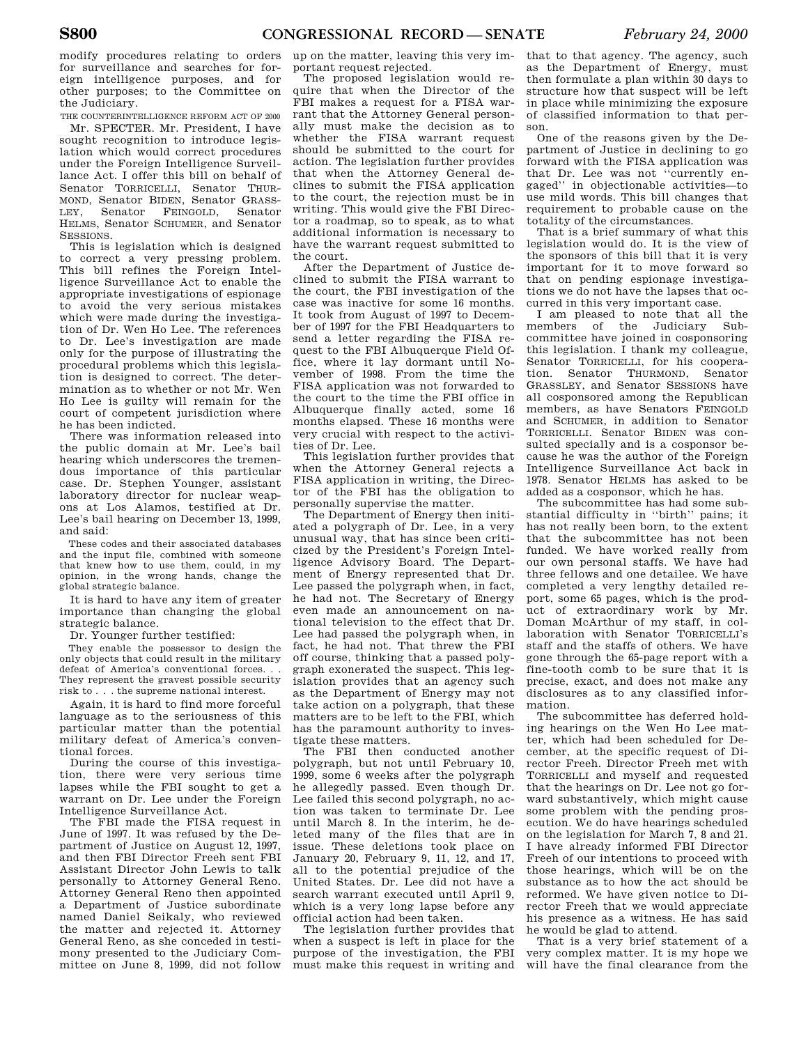modify procedures relating to orders for surveillance and searches for foreign intelligence purposes, and for other purposes; to the Committee on the Judiciary.

THE COUNTERINTELLIGENCE REFORM ACT OF 2000 Mr. SPECTER. Mr. President, I have sought recognition to introduce legislation which would correct procedures under the Foreign Intelligence Surveillance Act. I offer this bill on behalf of Senator TORRICELLI, Senator THUR-MOND, Senator BIDEN, Senator GRASS-LEY, Senator FEINGOLD, Senator HELMS, Senator SCHUMER, and Senator SESSIONS.

This is legislation which is designed to correct a very pressing problem. This bill refines the Foreign Intelligence Surveillance Act to enable the appropriate investigations of espionage to avoid the very serious mistakes which were made during the investigation of Dr. Wen Ho Lee. The references to Dr. Lee's investigation are made only for the purpose of illustrating the procedural problems which this legislation is designed to correct. The determination as to whether or not Mr. Wen Ho Lee is guilty will remain for the court of competent jurisdiction where he has been indicted.

There was information released into the public domain at Mr. Lee's bail hearing which underscores the tremendous importance of this particular case. Dr. Stephen Younger, assistant laboratory director for nuclear weapons at Los Alamos, testified at Dr. Lee's bail hearing on December 13, 1999, and said:

These codes and their associated databases and the input file, combined with someone that knew how to use them, could, in my opinion, in the wrong hands, change the global strategic balance.

It is hard to have any item of greater importance than changing the global strategic balance.

Dr. Younger further testified:

They enable the possessor to design the only objects that could result in the military defeat of America's conventional forces. They represent the gravest possible security risk to . . . the supreme national interest.

Again, it is hard to find more forceful language as to the seriousness of this particular matter than the potential military defeat of America's conventional forces.

During the course of this investigation, there were very serious time lapses while the FBI sought to get a warrant on Dr. Lee under the Foreign Intelligence Surveillance Act.

The FBI made the FISA request in June of 1997. It was refused by the Department of Justice on August 12, 1997, and then FBI Director Freeh sent FBI Assistant Director John Lewis to talk personally to Attorney General Reno. Attorney General Reno then appointed a Department of Justice subordinate named Daniel Seikaly, who reviewed the matter and rejected it. Attorney General Reno, as she conceded in testimony presented to the Judiciary Committee on June 8, 1999, did not follow

up on the matter, leaving this very important request rejected.

The proposed legislation would require that when the Director of the FBI makes a request for a FISA warrant that the Attorney General personally must make the decision as to whether the FISA warrant request should be submitted to the court for action. The legislation further provides that when the Attorney General declines to submit the FISA application to the court, the rejection must be in writing. This would give the FBI Director a roadmap, so to speak, as to what additional information is necessary to have the warrant request submitted to the court.

After the Department of Justice declined to submit the FISA warrant to the court, the FBI investigation of the case was inactive for some 16 months. It took from August of 1997 to December of 1997 for the FBI Headquarters to send a letter regarding the FISA request to the FBI Albuquerque Field Office, where it lay dormant until November of 1998. From the time the FISA application was not forwarded to the court to the time the FBI office in Albuquerque finally acted, some 16 months elapsed. These 16 months were very crucial with respect to the activities of Dr. Lee.

This legislation further provides that when the Attorney General rejects a FISA application in writing, the Director of the FBI has the obligation to personally supervise the matter.

The Department of Energy then initiated a polygraph of Dr. Lee, in a very unusual way, that has since been criticized by the President's Foreign Intelligence Advisory Board. The Department of Energy represented that Dr. Lee passed the polygraph when, in fact, he had not. The Secretary of Energy even made an announcement on national television to the effect that Dr. Lee had passed the polygraph when, in fact, he had not. That threw the FBI off course, thinking that a passed polygraph exonerated the suspect. This legislation provides that an agency such as the Department of Energy may not take action on a polygraph, that these matters are to be left to the FBI, which has the paramount authority to investigate these matters.

The FBI then conducted another polygraph, but not until February 10, 1999, some 6 weeks after the polygraph he allegedly passed. Even though Dr. Lee failed this second polygraph, no action was taken to terminate Dr. Lee until March 8. In the interim, he deleted many of the files that are in issue. These deletions took place on January 20, February 9, 11, 12, and 17, all to the potential prejudice of the United States. Dr. Lee did not have a search warrant executed until April 9, which is a very long lapse before any official action had been taken.

The legislation further provides that when a suspect is left in place for the purpose of the investigation, the FBI must make this request in writing and

that to that agency. The agency, such as the Department of Energy, must then formulate a plan within 30 days to structure how that suspect will be left in place while minimizing the exposure of classified information to that person.

One of the reasons given by the Department of Justice in declining to go forward with the FISA application was that Dr. Lee was not ''currently engaged'' in objectionable activities—to use mild words. This bill changes that requirement to probable cause on the totality of the circumstances.

That is a brief summary of what this legislation would do. It is the view of the sponsors of this bill that it is very important for it to move forward so that on pending espionage investigations we do not have the lapses that occurred in this very important case.

I am pleased to note that all the members of the Judiciary Subcommittee have joined in cosponsoring this legislation. I thank my colleague, Senator TORRICELLI, for his cooperation. Senator THURMOND, Senator GRASSLEY, and Senator SESSIONS have all cosponsored among the Republican members, as have Senators FEINGOLD and SCHUMER, in addition to Senator TORRICELLI. Senator BIDEN was consulted specially and is a cosponsor because he was the author of the Foreign Intelligence Surveillance Act back in 1978. Senator HELMS has asked to be added as a cosponsor, which he has.

The subcommittee has had some substantial difficulty in ''birth'' pains; it has not really been born, to the extent that the subcommittee has not been funded. We have worked really from our own personal staffs. We have had three fellows and one detailee. We have completed a very lengthy detailed report, some 65 pages, which is the product of extraordinary work by Mr. Doman McArthur of my staff, in collaboration with Senator TORRICELLI's staff and the staffs of others. We have gone through the 65-page report with a fine-tooth comb to be sure that it is precise, exact, and does not make any disclosures as to any classified information.

The subcommittee has deferred holding hearings on the Wen Ho Lee matter, which had been scheduled for December, at the specific request of Director Freeh. Director Freeh met with TORRICELLI and myself and requested that the hearings on Dr. Lee not go forward substantively, which might cause some problem with the pending prosecution. We do have hearings scheduled on the legislation for March 7, 8 and 21. I have already informed FBI Director Freeh of our intentions to proceed with those hearings, which will be on the substance as to how the act should be reformed. We have given notice to Director Freeh that we would appreciate his presence as a witness. He has said he would be glad to attend.

That is a very brief statement of a very complex matter. It is my hope we will have the final clearance from the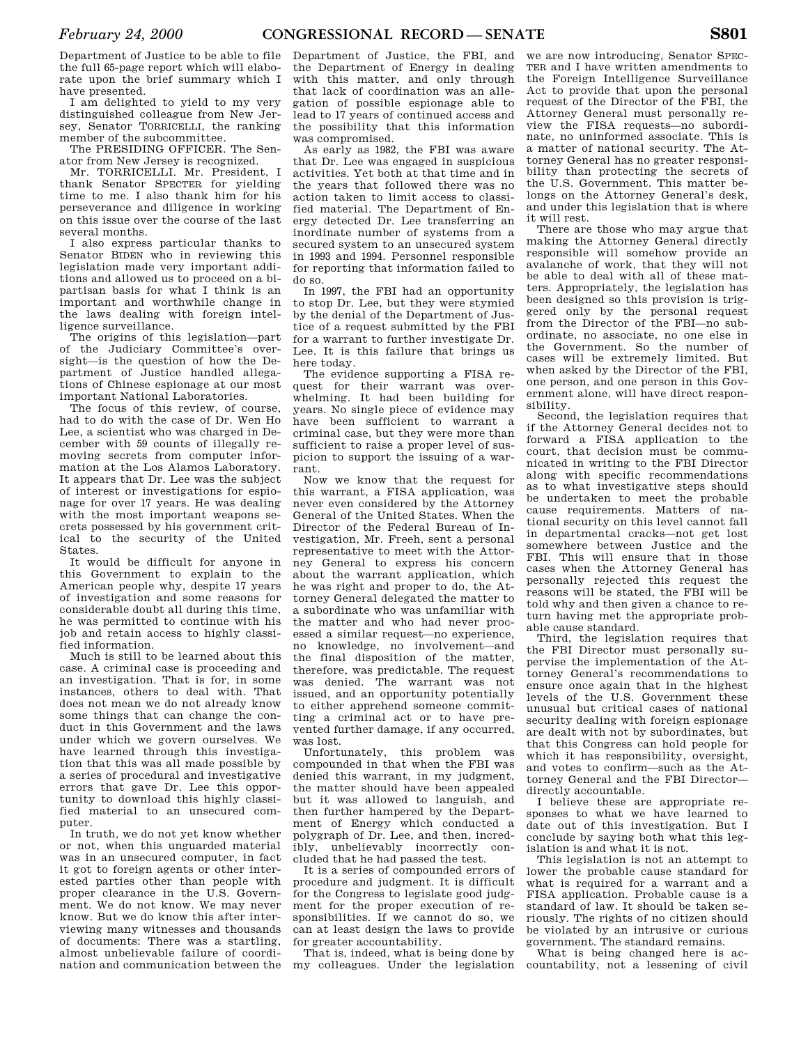Department of Justice to be able to file the full 65-page report which will elaborate upon the brief summary which I have presented.

I am delighted to yield to my very distinguished colleague from New Jersey, Senator TORRICELLI, the ranking member of the subcommittee.

The PRESIDING OFFICER. The Senator from New Jersey is recognized.

Mr. TORRICELLI. Mr. President, I thank Senator SPECTER for yielding time to me. I also thank him for his perseverance and diligence in working on this issue over the course of the last several months.

I also express particular thanks to Senator BIDEN who in reviewing this legislation made very important additions and allowed us to proceed on a bipartisan basis for what I think is an important and worthwhile change in the laws dealing with foreign intelligence surveillance.

The origins of this legislation—part of the Judiciary Committee's oversight—is the question of how the Department of Justice handled allegations of Chinese espionage at our most important National Laboratories.

The focus of this review, of course, had to do with the case of Dr. Wen Ho Lee, a scientist who was charged in December with 59 counts of illegally removing secrets from computer information at the Los Alamos Laboratory. It appears that Dr. Lee was the subject of interest or investigations for espionage for over 17 years. He was dealing with the most important weapons secrets possessed by his government critical to the security of the United **States** 

It would be difficult for anyone in this Government to explain to the American people why, despite 17 years of investigation and some reasons for considerable doubt all during this time, he was permitted to continue with his job and retain access to highly classified information.

Much is still to be learned about this case. A criminal case is proceeding and an investigation. That is for, in some instances, others to deal with. That does not mean we do not already know some things that can change the conduct in this Government and the laws under which we govern ourselves. We have learned through this investigation that this was all made possible by a series of procedural and investigative errors that gave Dr. Lee this opportunity to download this highly classified material to an unsecured computer.

In truth, we do not yet know whether or not, when this unguarded material was in an unsecured computer, in fact it got to foreign agents or other interested parties other than people with proper clearance in the U.S. Government. We do not know. We may never know. But we do know this after interviewing many witnesses and thousands of documents: There was a startling, almost unbelievable failure of coordi-

Department of Justice, the FBI, and the Department of Energy in dealing with this matter, and only through that lack of coordination was an allegation of possible espionage able to lead to 17 years of continued access and the possibility that this information was compromised.

As early as 1982, the FBI was aware that Dr. Lee was engaged in suspicious activities. Yet both at that time and in the years that followed there was no action taken to limit access to classified material. The Department of Energy detected Dr. Lee transferring an inordinate number of systems from a secured system to an unsecured system in 1993 and 1994. Personnel responsible for reporting that information failed to do so.

In 1997, the FBI had an opportunity to stop Dr. Lee, but they were stymied by the denial of the Department of Justice of a request submitted by the FBI for a warrant to further investigate Dr. Lee. It is this failure that brings us here today.

The evidence supporting a FISA request for their warrant was overwhelming. It had been building for years. No single piece of evidence may have been sufficient to warrant a criminal case, but they were more than sufficient to raise a proper level of suspicion to support the issuing of a warrant.

Now we know that the request for this warrant, a FISA application, was never even considered by the Attorney General of the United States. When the Director of the Federal Bureau of Investigation, Mr. Freeh, sent a personal representative to meet with the Attorney General to express his concern about the warrant application, which he was right and proper to do, the Attorney General delegated the matter to a subordinate who was unfamiliar with the matter and who had never processed a similar request—no experience, no knowledge, no involvement—and the final disposition of the matter, therefore, was predictable. The request was denied. The warrant was not issued, and an opportunity potentially to either apprehend someone committing a criminal act or to have prevented further damage, if any occurred, was lost.

Unfortunately, this problem was compounded in that when the FBI was denied this warrant, in my judgment, the matter should have been appealed but it was allowed to languish, and then further hampered by the Department of Energy which conducted a polygraph of Dr. Lee, and then, incredibly, unbelievably incorrectly concluded that he had passed the test.

It is a series of compounded errors of procedure and judgment. It is difficult for the Congress to legislate good judgment for the proper execution of responsibilities. If we cannot do so, we can at least design the laws to provide for greater accountability.

nation and communication between the my colleagues. Under the legislation That is, indeed, what is being done by

we are now introducing, Senator SPEC-TER and I have written amendments to the Foreign Intelligence Surveillance Act to provide that upon the personal request of the Director of the FBI, the Attorney General must personally review the FISA requests—no subordinate, no uninformed associate. This is a matter of national security. The Attorney General has no greater responsibility than protecting the secrets of the U.S. Government. This matter belongs on the Attorney General's desk, and under this legislation that is where it will rest.

There are those who may argue that making the Attorney General directly responsible will somehow provide an avalanche of work, that they will not be able to deal with all of these matters. Appropriately, the legislation has been designed so this provision is triggered only by the personal request from the Director of the FBI—no subordinate, no associate, no one else in the Government. So the number of cases will be extremely limited. But when asked by the Director of the FBI, one person, and one person in this Government alone, will have direct responsibility.

Second, the legislation requires that if the Attorney General decides not to forward a FISA application to the court, that decision must be communicated in writing to the FBI Director along with specific recommendations as to what investigative steps should be undertaken to meet the probable cause requirements. Matters of national security on this level cannot fall in departmental cracks—not get lost somewhere between Justice and the FBI. This will ensure that in those cases when the Attorney General has personally rejected this request the reasons will be stated, the FBI will be told why and then given a chance to return having met the appropriate probable cause standard.

Third, the legislation requires that the FBI Director must personally supervise the implementation of the Attorney General's recommendations to ensure once again that in the highest levels of the U.S. Government these unusual but critical cases of national security dealing with foreign espionage are dealt with not by subordinates, but that this Congress can hold people for which it has responsibility, oversight, and votes to confirm—such as the Attorney General and the FBI Director directly accountable.

I believe these are appropriate responses to what we have learned to date out of this investigation. But I conclude by saying both what this legislation is and what it is not.

This legislation is not an attempt to lower the probable cause standard for what is required for a warrant and a FISA application. Probable cause is a standard of law. It should be taken seriously. The rights of no citizen should be violated by an intrusive or curious government. The standard remains.

What is being changed here is accountability, not a lessening of civil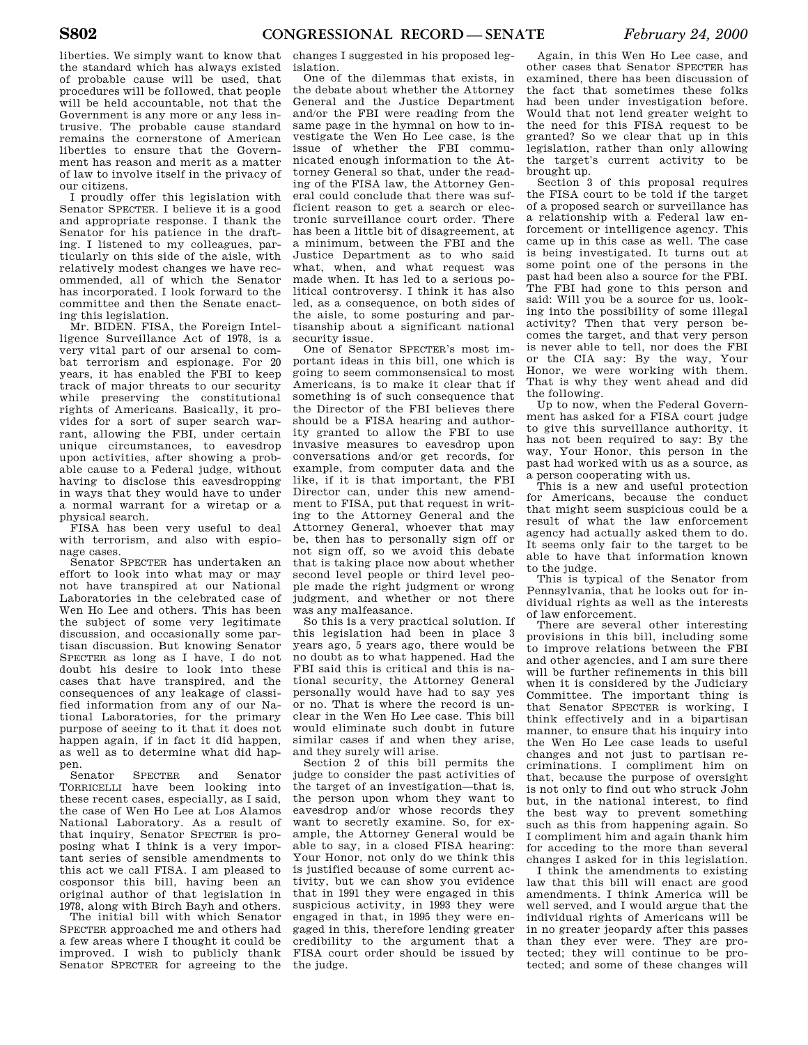liberties. We simply want to know that the standard which has always existed of probable cause will be used, that procedures will be followed, that people will be held accountable, not that the Government is any more or any less intrusive. The probable cause standard remains the cornerstone of American liberties to ensure that the Government has reason and merit as a matter of law to involve itself in the privacy of our citizens.

I proudly offer this legislation with Senator SPECTER. I believe it is a good and appropriate response. I thank the Senator for his patience in the drafting. I listened to my colleagues, particularly on this side of the aisle, with relatively modest changes we have recommended, all of which the Senator has incorporated. I look forward to the committee and then the Senate enacting this legislation.

Mr. BIDEN. FISA, the Foreign Intelligence Surveillance Act of 1978, is a very vital part of our arsenal to combat terrorism and espionage. For 20 years, it has enabled the FBI to keep track of major threats to our security while preserving the constitutional rights of Americans. Basically, it provides for a sort of super search warrant, allowing the FBI, under certain unique circumstances, to eavesdrop upon activities, after showing a probable cause to a Federal judge, without having to disclose this eavesdropping in ways that they would have to under a normal warrant for a wiretap or a physical search.

FISA has been very useful to deal with terrorism, and also with espionage cases.

Senator SPECTER has undertaken an effort to look into what may or may not have transpired at our National Laboratories in the celebrated case of Wen Ho Lee and others. This has been the subject of some very legitimate discussion, and occasionally some partisan discussion. But knowing Senator SPECTER as long as I have, I do not doubt his desire to look into these cases that have transpired, and the consequences of any leakage of classified information from any of our National Laboratories, for the primary purpose of seeing to it that it does not happen again, if in fact it did happen, as well as to determine what did happen.<br>Senator

Senator SPECTER and Senator TORRICELLI have been looking into these recent cases, especially, as I said, the case of Wen Ho Lee at Los Alamos National Laboratory. As a result of that inquiry, Senator SPECTER is proposing what I think is a very important series of sensible amendments to this act we call FISA. I am pleased to cosponsor this bill, having been an original author of that legislation in 1978, along with Birch Bayh and others.

The initial bill with which Senator SPECTER approached me and others had a few areas where I thought it could be improved. I wish to publicly thank Senator SPECTER for agreeing to the

changes I suggested in his proposed legislation.

One of the dilemmas that exists, in the debate about whether the Attorney General and the Justice Department and/or the FBI were reading from the same page in the hymnal on how to investigate the Wen Ho Lee case, is the issue of whether the FBI communicated enough information to the Attorney General so that, under the reading of the FISA law, the Attorney General could conclude that there was sufficient reason to get a search or electronic surveillance court order. There has been a little bit of disagreement, at a minimum, between the FBI and the Justice Department as to who said what, when, and what request was made when. It has led to a serious political controversy. I think it has also led, as a consequence, on both sides of the aisle, to some posturing and partisanship about a significant national security issue.

One of Senator SPECTER's most important ideas in this bill, one which is going to seem commonsensical to most Americans, is to make it clear that if something is of such consequence that the Director of the FBI believes there should be a FISA hearing and authority granted to allow the FBI to use invasive measures to eavesdrop upon conversations and/or get records, for example, from computer data and the like, if it is that important, the FBI Director can, under this new amendment to FISA, put that request in writing to the Attorney General and the Attorney General, whoever that may be, then has to personally sign off or not sign off, so we avoid this debate that is taking place now about whether second level people or third level people made the right judgment or wrong judgment, and whether or not there was any malfeasance.

So this is a very practical solution. If this legislation had been in place 3 years ago, 5 years ago, there would be no doubt as to what happened. Had the FBI said this is critical and this is national security, the Attorney General personally would have had to say yes or no. That is where the record is unclear in the Wen Ho Lee case. This bill would eliminate such doubt in future similar cases if and when they arise, and they surely will arise.

Section 2 of this bill permits the judge to consider the past activities of the target of an investigation—that is, the person upon whom they want to eavesdrop and/or whose records they want to secretly examine. So, for example, the Attorney General would be able to say, in a closed FISA hearing: Your Honor, not only do we think this is justified because of some current activity, but we can show you evidence that in 1991 they were engaged in this suspicious activity, in 1993 they were engaged in that, in 1995 they were engaged in this, therefore lending greater credibility to the argument that a FISA court order should be issued by the judge.

Again, in this Wen Ho Lee case, and other cases that Senator SPECTER has examined, there has been discussion of the fact that sometimes these folks had been under investigation before. Would that not lend greater weight to the need for this FISA request to be granted? So we clear that up in this legislation, rather than only allowing the target's current activity to be brought up.

Section 3 of this proposal requires the FISA court to be told if the target of a proposed search or surveillance has a relationship with a Federal law enforcement or intelligence agency. This came up in this case as well. The case is being investigated. It turns out at some point one of the persons in the past had been also a source for the FBI. The FBI had gone to this person and said: Will you be a source for us, looking into the possibility of some illegal activity? Then that very person becomes the target, and that very person is never able to tell, nor does the FBI or the CIA say: By the way, Your Honor, we were working with them. That is why they went ahead and did the following.

Up to now, when the Federal Government has asked for a FISA court judge to give this surveillance authority, it has not been required to say: By the way, Your Honor, this person in the past had worked with us as a source, as a person cooperating with us.

This is a new and useful protection for Americans, because the conduct that might seem suspicious could be a result of what the law enforcement agency had actually asked them to do. It seems only fair to the target to be able to have that information known to the judge.

This is typical of the Senator from Pennsylvania, that he looks out for individual rights as well as the interests of law enforcement.

There are several other interesting provisions in this bill, including some to improve relations between the FBI and other agencies, and I am sure there will be further refinements in this bill when it is considered by the Judiciary Committee. The important thing is that Senator SPECTER is working, I think effectively and in a bipartisan manner, to ensure that his inquiry into the Wen Ho Lee case leads to useful changes and not just to partisan recriminations. I compliment him on that, because the purpose of oversight is not only to find out who struck John but, in the national interest, to find the best way to prevent something such as this from happening again. So I compliment him and again thank him for acceding to the more than several changes I asked for in this legislation.

I think the amendments to existing law that this bill will enact are good amendments. I think America will be well served, and I would argue that the individual rights of Americans will be in no greater jeopardy after this passes than they ever were. They are protected; they will continue to be protected; and some of these changes will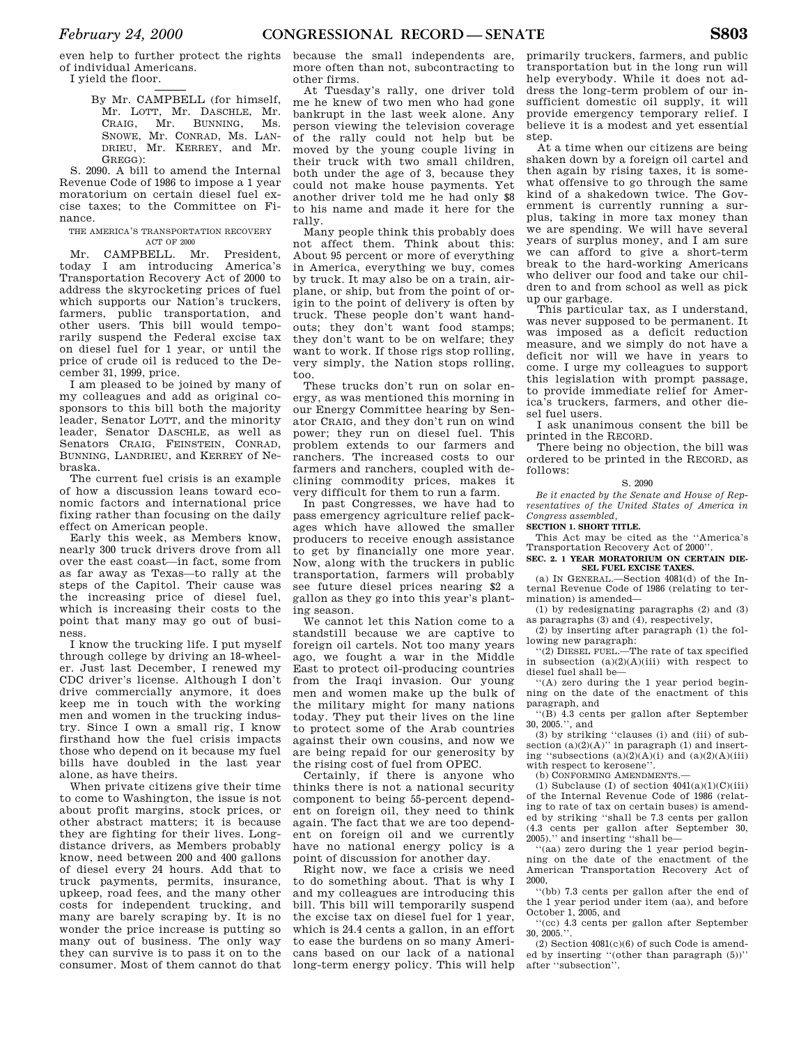even help to further protect the rights of individual Americans.

I yield the floor.

By Mr. CAMPBELL (for himself, Mr. LOTT, Mr. DASCHLE, Mr. CRAIG, Mr. BUNNING, Ms. SNOWE, Mr. CONRAD, Ms. LAN-DRIEU, Mr. KERREY, and Mr. GREGG):

S. 2090. A bill to amend the Internal Revenue Code of 1986 to impose a 1 year moratorium on certain diesel fuel excise taxes; to the Committee on Finance.

# THE AMERICA'S TRANSPORTATION RECOVERY ACT OF 2000

Mr. CAMPBELL. Mr. President, today I am introducing America's Transportation Recovery Act of 2000 to address the skyrocketing prices of fuel which supports our Nation's truckers, farmers, public transportation, and other users. This bill would temporarily suspend the Federal excise tax on diesel fuel for 1 year, or until the price of crude oil is reduced to the December 31, 1999, price.

I am pleased to be joined by many of my colleagues and add as original cosponsors to this bill both the majority leader, Senator LOTT, and the minority leader, Senator DASCHLE, as well as Senators CRAIG, FEINSTEIN, CONRAD, BUNNING, LANDRIEU, and KERREY of Nebraska.

The current fuel crisis is an example of how a discussion leans toward economic factors and international price fixing rather than focusing on the daily effect on American people.

Early this week, as Members know, nearly 300 truck drivers drove from all over the east coast—in fact, some from as far away as Texas—to rally at the steps of the Capitol. Their cause was the increasing price of diesel fuel, which is increasing their costs to the point that many may go out of business.

I know the trucking life. I put myself through college by driving an 18-wheeler. Just last December, I renewed my CDC driver's license. Although I don't drive commercially anymore, it does keep me in touch with the working men and women in the trucking industry. Since I own a small rig, I know firsthand how the fuel crisis impacts those who depend on it because my fuel bills have doubled in the last year alone, as have theirs.

When private citizens give their time to come to Washington, the issue is not about profit margins, stock prices, or other abstract matters; it is because they are fighting for their lives. Longdistance drivers, as Members probably know, need between 200 and 400 gallons of diesel every 24 hours. Add that to truck payments, permits, insurance, upkeep, road fees, and the many other costs for independent trucking, and many are barely scraping by. It is no wonder the price increase is putting so many out of business. The only way they can survive is to pass it on to the consumer. Most of them cannot do that

because the small independents are, more often than not, subcontracting to other firms.

At Tuesday's rally, one driver told me he knew of two men who had gone bankrupt in the last week alone. Any person viewing the television coverage of the rally could not help but be moved by the young couple living in their truck with two small children, both under the age of 3, because they could not make house payments. Yet another driver told me he had only \$8 to his name and made it here for the rally.

Many people think this probably does not affect them. Think about this: About 95 percent or more of everything in America, everything we buy, comes by truck. It may also be on a train, airplane, or ship, but from the point of origin to the point of delivery is often by truck. These people don't want handouts; they don't want food stamps; they don't want to be on welfare; they want to work. If those rigs stop rolling, very simply, the Nation stops rolling, too.

These trucks don't run on solar energy, as was mentioned this morning in our Energy Committee hearing by Senator CRAIG, and they don't run on wind power; they run on diesel fuel. This problem extends to our farmers and ranchers. The increased costs to our farmers and ranchers, coupled with declining commodity prices, makes it very difficult for them to run a farm.

In past Congresses, we have had to pass emergency agriculture relief packages which have allowed the smaller producers to receive enough assistance to get by financially one more year. Now, along with the truckers in public transportation, farmers will probably see future diesel prices nearing \$2 a gallon as they go into this year's planting season.

We cannot let this Nation come to a standstill because we are captive to foreign oil cartels. Not too many years ago, we fought a war in the Middle East to protect oil-producing countries from the Iraqi invasion. Our young men and women make up the bulk of the military might for many nations today. They put their lives on the line to protect some of the Arab countries against their own cousins, and now we are being repaid for our generosity by the rising cost of fuel from OPEC.

Certainly, if there is anyone who thinks there is not a national security component to being 55-percent dependent on foreign oil, they need to think again. The fact that we are too dependent on foreign oil and we currently have no national energy policy is a point of discussion for another day.

Right now, we face a crisis we need to do something about. That is why I and my colleagues are introducing this bill. This bill will temporarily suspend the excise tax on diesel fuel for 1 year, which is 24.4 cents a gallon, in an effort to ease the burdens on so many Americans based on our lack of a national long-term energy policy. This will help

primarily truckers, farmers, and public transportation but in the long run will help everybody. While it does not address the long-term problem of our insufficient domestic oil supply, it will provide emergency temporary relief. I believe it is a modest and yet essential step.

At a time when our citizens are being shaken down by a foreign oil cartel and then again by rising taxes, it is somewhat offensive to go through the same kind of a shakedown twice. The Government is currently running a surplus, taking in more tax money than we are spending. We will have several years of surplus money, and I am sure we can afford to give a short-term break to the hard-working Americans who deliver our food and take our children to and from school as well as pick up our garbage.

This particular tax, as I understand, was never supposed to be permanent. It was imposed as a deficit reduction measure, and we simply do not have a deficit nor will we have in years to come. I urge my colleagues to support this legislation with prompt passage, to provide immediate relief for America's truckers, farmers, and other diesel fuel users.

I ask unanimous consent the bill be printed in the RECORD.

There being no objection, the bill was ordered to be printed in the RECORD, as follows:

## S. 2090

*Be it enacted by the Senate and House of Representatives of the United States of America in Congress assembled,* 

**SECTION 1. SHORT TITLE.** 

This Act may be cited as the ''America's Transportation Recovery Act of 2000''. **SEC. 2. 1 YEAR MORATORIUM ON CERTAIN DIE-**

# **SEL FUEL EXCISE TAXES.**

(a) IN GENERAL.—Section 4081(d) of the Internal Revenue Code of 1986 (relating to termination) is amended—

(1) by redesignating paragraphs (2) and (3) as paragraphs (3) and (4), respectively,

(2) by inserting after paragraph (1) the following new paragraph:

''(2) DIESEL FUEL.—The rate of tax specified in subsection  $(a)(2)(A)(iii)$  with respect to diesel fuel shall be—

''(A) zero during the 1 year period beginning on the date of the enactment of this paragraph, and

''(B) 4.3 cents per gallon after September 30, 2005.'', and

(3) by striking "clauses (i) and (iii) of subsection  $(a)(2)(A)$ " in paragraph (1) and inserting "subsections  $(a)(2)(A)(i)$  and  $(a)(2)(A)(iii)$ with respect to kerosene''.

(b) CONFORMING AMENDMENTS.—

(1) Subclause (I) of section  $4041(a)(1)(C)(iii)$ of the Internal Revenue Code of 1986 (relating to rate of tax on certain buses) is amended by striking ''shall be 7.3 cents per gallon (4.3 cents per gallon after September 30, 2005).'' and inserting ''shall be—

''(aa) zero during the 1 year period beginning on the date of the enactment of the American Transportation Recovery Act of 2000,

''(bb) 7.3 cents per gallon after the end of the 1 year period under item (aa), and before October 1, 2005, and

''(cc) 4.3 cents per gallon after September  $30, 2005.$ "

 $(2)$  Section 4081 $(c)(6)$  of such Code is amended by inserting ''(other than paragraph (5))'' after ''subsection''.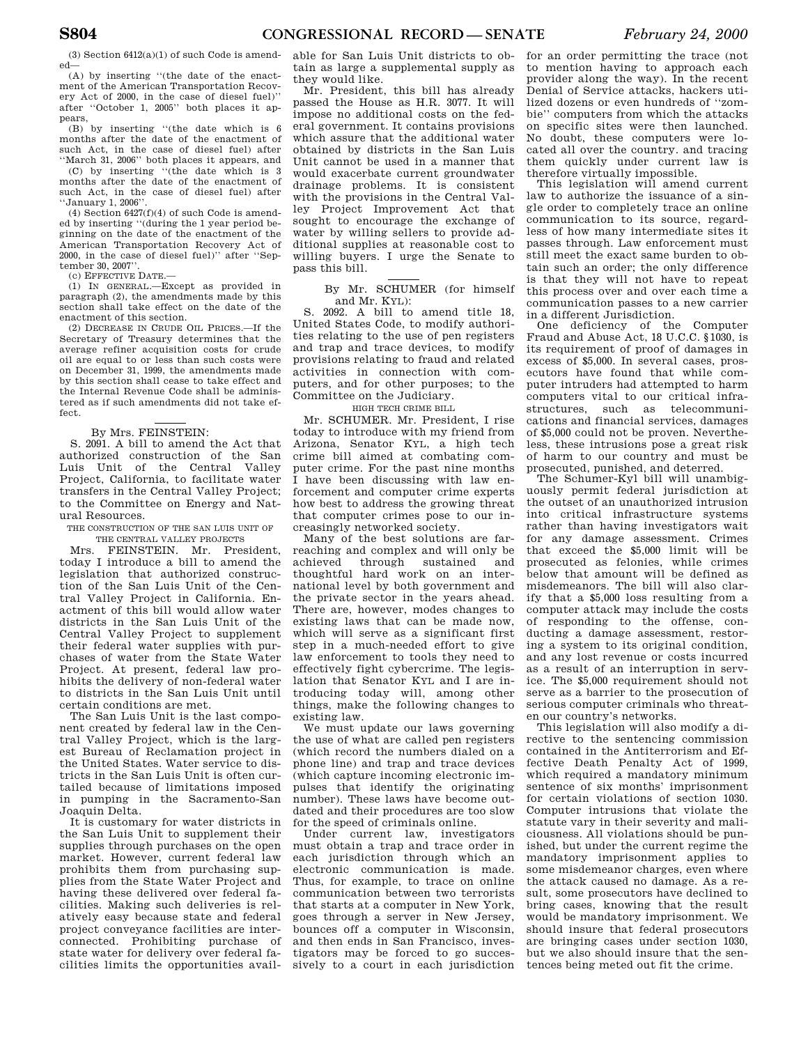(3) Section  $6412(a)(1)$  of such Code is amended—

(A) by inserting ''(the date of the enactment of the American Transportation Recovery Act of 2000, in the case of diesel fuel)'' after ''October 1, 2005'' both places it appears,

(B) by inserting ''(the date which is 6 months after the date of the enactment of such Act, in the case of diesel fuel) after 'March 31, 2006'' both places it appears, and

(C) by inserting ''(the date which is 3 months after the date of the enactment of such Act, in the case of diesel fuel) after ''January 1, 2006''.

(4) Section  $6427(f)(4)$  of such Code is amended by inserting ''(during the 1 year period beginning on the date of the enactment of the American Transportation Recovery Act of 2000, in the case of diesel fuel)'' after ''September 30, 2007''

(c) EFFECTIVE DATE.

(1) IN GENERAL.—Except as provided in paragraph (2), the amendments made by this section shall take effect on the date of the enactment of this section.

(2) DECREASE IN CRUDE OIL PRICES.—If the Secretary of Treasury determines that the average refiner acquisition costs for crude oil are equal to or less than such costs were on December 31, 1999, the amendments made by this section shall cease to take effect and the Internal Revenue Code shall be administered as if such amendments did not take effect.

# By Mrs. FEINSTEIN:

S. 2091. A bill to amend the Act that authorized construction of the San Luis Unit of the Central Valley Project, California, to facilitate water transfers in the Central Valley Project; to the Committee on Energy and Natural Resources.

THE CONSTRUCTION OF THE SAN LUIS UNIT OF THE CENTRAL VALLEY PROJECTS

Mrs. FEINSTEIN. Mr. President, today I introduce a bill to amend the legislation that authorized construction of the San Luis Unit of the Central Valley Project in California. Enactment of this bill would allow water districts in the San Luis Unit of the Central Valley Project to supplement their federal water supplies with purchases of water from the State Water Project. At present, federal law prohibits the delivery of non-federal water to districts in the San Luis Unit until certain conditions are met.

The San Luis Unit is the last component created by federal law in the Central Valley Project, which is the largest Bureau of Reclamation project in the United States. Water service to districts in the San Luis Unit is often curtailed because of limitations imposed in pumping in the Sacramento-San Joaquin Delta.

It is customary for water districts in the San Luis Unit to supplement their supplies through purchases on the open market. However, current federal law prohibits them from purchasing supplies from the State Water Project and having these delivered over federal facilities. Making such deliveries is relatively easy because state and federal project conveyance facilities are interconnected. Prohibiting purchase of state water for delivery over federal facilities limits the opportunities avail-

able for San Luis Unit districts to obtain as large a supplemental supply as they would like.

Mr. President, this bill has already passed the House as H.R. 3077. It will impose no additional costs on the federal government. It contains provisions which assure that the additional water obtained by districts in the San Luis Unit cannot be used in a manner that would exacerbate current groundwater drainage problems. It is consistent with the provisions in the Central Valley Project Improvement Act that sought to encourage the exchange of water by willing sellers to provide additional supplies at reasonable cost to willing buyers. I urge the Senate to pass this bill.

> By Mr. SCHUMER (for himself and Mr. KYL):

S. 2092. A bill to amend title 18, United States Code, to modify authorities relating to the use of pen registers and trap and trace devices, to modify provisions relating to fraud and related activities in connection with computers, and for other purposes; to the Committee on the Judiciary.

# HIGH TECH CRIME BILL

Mr. SCHUMER. Mr. President, I rise today to introduce with my friend from Arizona, Senator KYL, a high tech crime bill aimed at combating computer crime. For the past nine months I have been discussing with law enforcement and computer crime experts how best to address the growing threat that computer crimes pose to our increasingly networked society.

Many of the best solutions are farreaching and complex and will only be achieved through sustained and thoughtful hard work on an international level by both government and the private sector in the years ahead. There are, however, modes changes to existing laws that can be made now, which will serve as a significant first step in a much-needed effort to give law enforcement to tools they need to effectively fight cybercrime. The legislation that Senator KYL and I are introducing today will, among other things, make the following changes to existing law.

We must update our laws governing the use of what are called pen registers (which record the numbers dialed on a phone line) and trap and trace devices (which capture incoming electronic impulses that identify the originating number). These laws have become outdated and their procedures are too slow for the speed of criminals online.

Under current law, investigators must obtain a trap and trace order in each jurisdiction through which an electronic communication is made. Thus, for example, to trace on online communication between two terrorists that starts at a computer in New York, goes through a server in New Jersey, bounces off a computer in Wisconsin, and then ends in San Francisco, investigators may be forced to go successively to a court in each jurisdiction

for an order permitting the trace (not to mention having to approach each provider along the way). In the recent Denial of Service attacks, hackers utilized dozens or even hundreds of ''zombie'' computers from which the attacks on specific sites were then launched. No doubt, these computers were located all over the country. and tracing them quickly under current law is therefore virtually impossible.

This legislation will amend current law to authorize the issuance of a single order to completely trace an online communication to its source, regardless of how many intermediate sites it passes through. Law enforcement must still meet the exact same burden to obtain such an order; the only difference is that they will not have to repeat this process over and over each time a communication passes to a new carrier in a different Jurisdiction.

One deficiency of the Computer Fraud and Abuse Act, 18 U.C.C. §1030, is its requirement of proof of damages in excess of \$5,000. In several cases, prosecutors have found that while computer intruders had attempted to harm computers vital to our critical infrastructures, such as telecommunications and financial services, damages of \$5,000 could not be proven. Nevertheless, these intrusions pose a great risk of harm to our country and must be prosecuted, punished, and deterred.

The Schumer-Kyl bill will unambiguously permit federal jurisdiction at the outset of an unauthorized intrusion into critical infrastructure systems rather than having investigators wait for any damage assessment. Crimes that exceed the \$5,000 limit will be prosecuted as felonies, while crimes below that amount will be defined as misdemeanors. The bill will also clarify that a \$5,000 loss resulting from a computer attack may include the costs of responding to the offense, conducting a damage assessment, restoring a system to its original condition, and any lost revenue or costs incurred as a result of an interruption in service. The \$5,000 requirement should not serve as a barrier to the prosecution of serious computer criminals who threaten our country's networks.

This legislation will also modify a directive to the sentencing commission contained in the Antiterrorism and Effective Death Penalty Act of 1999, which required a mandatory minimum sentence of six months' imprisonment for certain violations of section 1030. Computer intrusions that violate the statute vary in their severity and maliciousness. All violations should be punished, but under the current regime the mandatory imprisonment applies to some misdemeanor charges, even where the attack caused no damage. As a result, some prosecutors have declined to bring cases, knowing that the result would be mandatory imprisonment. We should insure that federal prosecutors are bringing cases under section 1030, but we also should insure that the sentences being meted out fit the crime.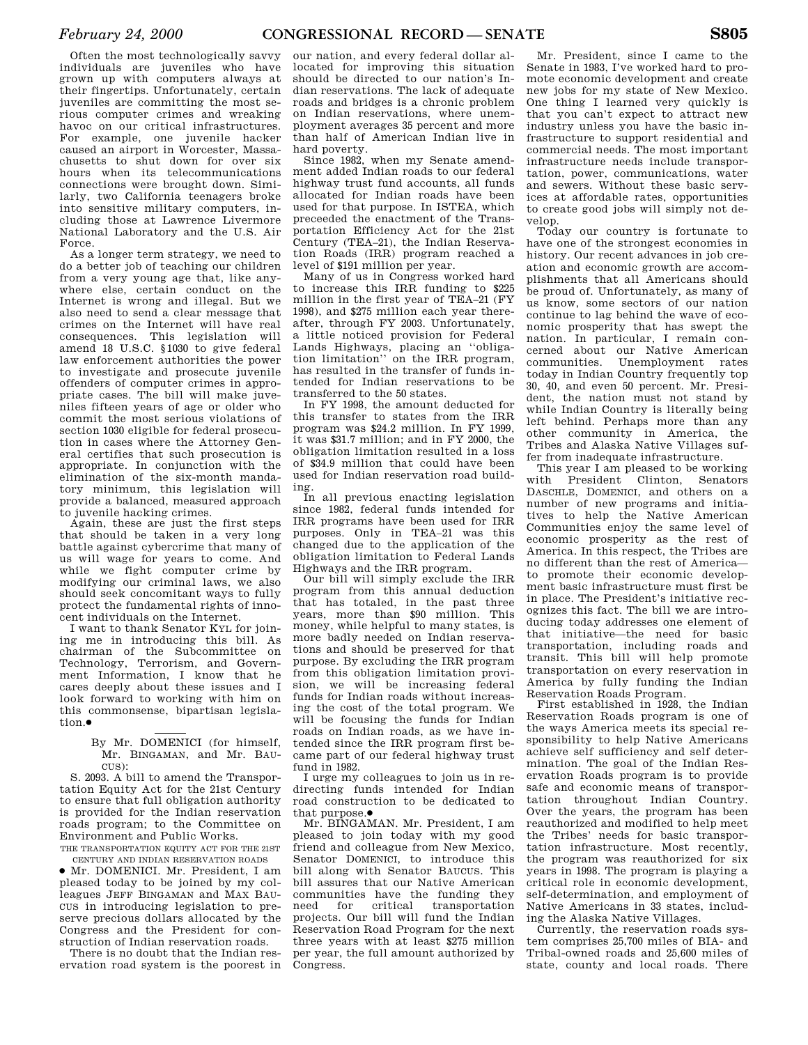Often the most technologically savvy individuals are juveniles who have grown up with computers always at their fingertips. Unfortunately, certain juveniles are committing the most serious computer crimes and wreaking havoc on our critical infrastructures. For example, one juvenile hacker caused an airport in Worcester, Massachusetts to shut down for over six hours when its telecommunications connections were brought down. Similarly, two California teenagers broke into sensitive military computers, including those at Lawrence Livermore National Laboratory and the U.S. Air Force.

As a longer term strategy, we need to do a better job of teaching our children from a very young age that, like anywhere else, certain conduct on the Internet is wrong and illegal. But we also need to send a clear message that crimes on the Internet will have real consequences. This legislation will amend 18 U.S.C. §1030 to give federal law enforcement authorities the power to investigate and prosecute juvenile offenders of computer crimes in appropriate cases. The bill will make juveniles fifteen years of age or older who commit the most serious violations of section 1030 eligible for federal prosecution in cases where the Attorney General certifies that such prosecution is appropriate. In conjunction with the elimination of the six-month mandatory minimum, this legislation will provide a balanced, measured approach to juvenile hacking crimes.

Again, these are just the first steps that should be taken in a very long battle against cybercrime that many of us will wage for years to come. And while we fight computer crime by modifying our criminal laws, we also should seek concomitant ways to fully protect the fundamental rights of innocent individuals on the Internet.

I want to thank Senator KYL for joining me in introducing this bill. As chairman of the Subcommittee on Technology, Terrorism, and Government Information, I know that he cares deeply about these issues and I look forward to working with him on this commonsense, bipartisan legislation.∑

> By Mr. DOMENICI (for himself, Mr. BINGAMAN, and Mr. BAU- $CUTE$ ).

S. 2093. A bill to amend the Transportation Equity Act for the 21st Century to ensure that full obligation authority is provided for the Indian reservation roads program; to the Committee on Environment and Public Works.

THE TRANSPORTATION EQUITY ACT FOR THE 21ST CENTURY AND INDIAN RESERVATION ROADS

∑ Mr. DOMENICI. Mr. President, I am pleased today to be joined by my colleagues JEFF BINGAMAN and MAX BAU-CUS in introducing legislation to preserve precious dollars allocated by the Congress and the President for construction of Indian reservation roads.

There is no doubt that the Indian reservation road system is the poorest in

our nation, and every federal dollar allocated for improving this situation should be directed to our nation's Indian reservations. The lack of adequate roads and bridges is a chronic problem on Indian reservations, where unemployment averages 35 percent and more than half of American Indian live in hard poverty.

Since 1982, when my Senate amendment added Indian roads to our federal highway trust fund accounts, all funds allocated for Indian roads have been used for that purpose. In ISTEA, which preceeded the enactment of the Transportation Efficiency Act for the 21st Century (TEA–21), the Indian Reservation Roads (IRR) program reached a level of \$191 million per year.

Many of us in Congress worked hard to increase this IRR funding to \$225 million in the first year of TEA–21 (FY 1998), and \$275 million each year thereafter, through FY 2003. Unfortunately, a little noticed provision for Federal Lands Highways, placing an ''obligation limitation'' on the IRR program, has resulted in the transfer of funds intended for Indian reservations to be transferred to the 50 states.

In FY 1998, the amount deducted for this transfer to states from the IRR program was \$24.2 million. In FY 1999, it was \$31.7 million; and in FY 2000, the obligation limitation resulted in a loss of \$34.9 million that could have been used for Indian reservation road building.

In all previous enacting legislation since 1982, federal funds intended for IRR programs have been used for IRR purposes. Only in TEA–21 was this changed due to the application of the obligation limitation to Federal Lands Highways and the IRR program.

Our bill will simply exclude the IRR program from this annual deduction that has totaled, in the past three years, more than \$90 million. This money, while helpful to many states, is more badly needed on Indian reservations and should be preserved for that purpose. By excluding the IRR program from this obligation limitation provision, we will be increasing federal funds for Indian roads without increasing the cost of the total program. We will be focusing the funds for Indian roads on Indian roads, as we have intended since the IRR program first became part of our federal highway trust fund in 1982.

I urge my colleagues to join us in redirecting funds intended for Indian road construction to be dedicated to that purpose.●

Mr. BINGAMAN. Mr. President, I am pleased to join today with my good friend and colleague from New Mexico, Senator DOMENICI, to introduce this bill along with Senator BAUCUS. This bill assures that our Native American communities have the funding they<br>need for critical transportation transportation projects. Our bill will fund the Indian Reservation Road Program for the next three years with at least \$275 million per year, the full amount authorized by Congress.

Mr. President, since I came to the Senate in 1983, I've worked hard to promote economic development and create new jobs for my state of New Mexico. One thing I learned very quickly is that you can't expect to attract new industry unless you have the basic infrastructure to support residential and commercial needs. The most important infrastructure needs include transportation, power, communications, water and sewers. Without these basic services at affordable rates, opportunities to create good jobs will simply not develop.

Today our country is fortunate to have one of the strongest economies in history. Our recent advances in job creation and economic growth are accomplishments that all Americans should be proud of. Unfortunately, as many of us know, some sectors of our nation continue to lag behind the wave of economic prosperity that has swept the nation. In particular, I remain concerned about our Native American communities. Unemployment rates today in Indian Country frequently top 30, 40, and even 50 percent. Mr. President, the nation must not stand by while Indian Country is literally being left behind. Perhaps more than any other community in America, the Tribes and Alaska Native Villages suffer from inadequate infrastructure.

This year I am pleased to be working with President Clinton, Senators DASCHLE, DOMENICI, and others on a number of new programs and initiatives to help the Native American Communities enjoy the same level of economic prosperity as the rest of America. In this respect, the Tribes are no different than the rest of America to promote their economic development basic infrastructure must first be in place. The President's initiative recognizes this fact. The bill we are introducing today addresses one element of that initiative—the need for basic transportation, including roads and transit. This bill will help promote transportation on every reservation in America by fully funding the Indian Reservation Roads Program.

First established in 1928, the Indian Reservation Roads program is one of the ways America meets its special responsibility to help Native Americans achieve self sufficiency and self determination. The goal of the Indian Reservation Roads program is to provide safe and economic means of transportation throughout Indian Country. Over the years, the program has been reauthorized and modified to help meet the Tribes' needs for basic transportation infrastructure. Most recently, the program was reauthorized for six years in 1998. The program is playing a critical role in economic development, self-determination, and employment of Native Americans in 33 states, including the Alaska Native Villages.

Currently, the reservation roads system comprises 25,700 miles of BIA- and Tribal-owned roads and 25,600 miles of state, county and local roads. There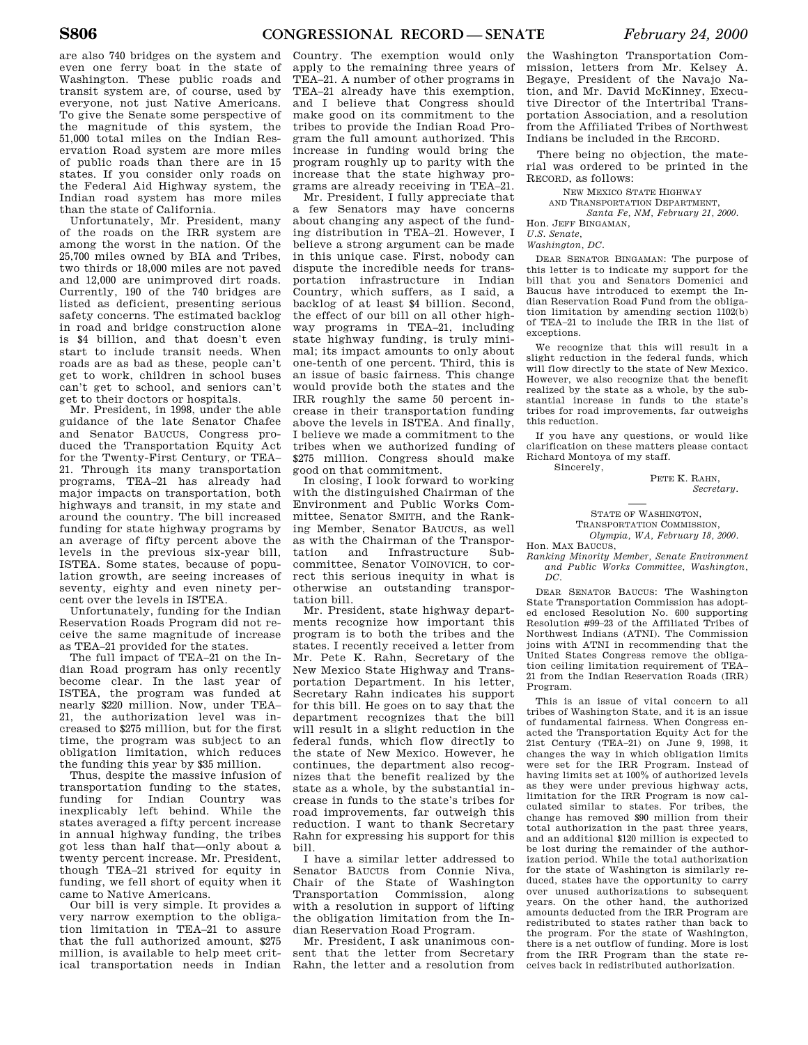are also 740 bridges on the system and even one ferry boat in the state of Washington. These public roads and transit system are, of course, used by everyone, not just Native Americans. To give the Senate some perspective of the magnitude of this system, the 51,000 total miles on the Indian Reservation Road system are more miles of public roads than there are in 15 states. If you consider only roads on the Federal Aid Highway system, the Indian road system has more miles than the state of California.

Unfortunately, Mr. President, many of the roads on the IRR system are among the worst in the nation. Of the 25,700 miles owned by BIA and Tribes, two thirds or 18,000 miles are not paved and 12,000 are unimproved dirt roads. Currently, 190 of the 740 bridges are listed as deficient, presenting serious safety concerns. The estimated backlog in road and bridge construction alone is \$4 billion, and that doesn't even start to include transit needs. When roads are as bad as these, people can't get to work, children in school buses can't get to school, and seniors can't get to their doctors or hospitals.

Mr. President, in 1998, under the able guidance of the late Senator Chafee and Senator BAUCUS, Congress produced the Transportation Equity Act for the Twenty-First Century, or TEA– 21. Through its many transportation programs, TEA–21 has already had major impacts on transportation, both highways and transit, in my state and around the country. The bill increased funding for state highway programs by an average of fifty percent above the levels in the previous six-year bill, ISTEA. Some states, because of population growth, are seeing increases of seventy, eighty and even ninety percent over the levels in ISTEA.

Unfortunately, funding for the Indian Reservation Roads Program did not receive the same magnitude of increase as TEA–21 provided for the states.

The full impact of TEA–21 on the Indian Road program has only recently become clear. In the last year of ISTEA, the program was funded at nearly \$220 million. Now, under TEA– 21, the authorization level was increased to \$275 million, but for the first time, the program was subject to an obligation limitation, which reduces the funding this year by \$35 million.

Thus, despite the massive infusion of transportation funding to the states, funding for Indian Country was inexplicably left behind. While the states averaged a fifty percent increase in annual highway funding, the tribes got less than half that—only about a twenty percent increase. Mr. President, though TEA–21 strived for equity in funding, we fell short of equity when it came to Native Americans.

Our bill is very simple. It provides a very narrow exemption to the obligation limitation in TEA–21 to assure that the full authorized amount, \$275 million, is available to help meet critical transportation needs in Indian

Country. The exemption would only apply to the remaining three years of TEA–21. A number of other programs in TEA–21 already have this exemption, and I believe that Congress should make good on its commitment to the tribes to provide the Indian Road Program the full amount authorized. This increase in funding would bring the program roughly up to parity with the increase that the state highway programs are already receiving in TEA–21.

Mr. President, I fully appreciate that a few Senators may have concerns about changing any aspect of the funding distribution in TEA–21. However, I believe a strong argument can be made in this unique case. First, nobody can dispute the incredible needs for transportation infrastructure in Indian Country, which suffers, as I said, a backlog of at least \$4 billion. Second, the effect of our bill on all other highway programs in TEA–21, including state highway funding, is truly minimal; its impact amounts to only about one-tenth of one percent. Third, this is an issue of basic fairness. This change would provide both the states and the IRR roughly the same 50 percent increase in their transportation funding above the levels in ISTEA. And finally, I believe we made a commitment to the tribes when we authorized funding of \$275 million. Congress should make good on that commitment.

In closing, I look forward to working with the distinguished Chairman of the Environment and Public Works Committee, Senator SMITH, and the Ranking Member, Senator BAUCUS, as well as with the Chairman of the Transportation and Infrastructure Subcommittee, Senator VOINOVICH, to correct this serious inequity in what is otherwise an outstanding transportation bill.

Mr. President, state highway departments recognize how important this program is to both the tribes and the states. I recently received a letter from Mr. Pete K. Rahn, Secretary of the New Mexico State Highway and Transportation Department. In his letter, Secretary Rahn indicates his support for this bill. He goes on to say that the department recognizes that the bill will result in a slight reduction in the federal funds, which flow directly to the state of New Mexico. However, he continues, the department also recognizes that the benefit realized by the state as a whole, by the substantial increase in funds to the state's tribes for road improvements, far outweigh this reduction. I want to thank Secretary Rahn for expressing his support for this bill.

I have a similar letter addressed to Senator BAUCUS from Connie Niva, Chair of the State of Washington Transportation Commission, along with a resolution in support of lifting the obligation limitation from the Indian Reservation Road Program.

Mr. President, I ask unanimous consent that the letter from Secretary Rahn, the letter and a resolution from

the Washington Transportation Commission, letters from Mr. Kelsey A. Begaye, President of the Navajo Nation, and Mr. David McKinney, Executive Director of the Intertribal Transportation Association, and a resolution from the Affiliated Tribes of Northwest Indians be included in the RECORD.

There being no objection, the material was ordered to be printed in the RECORD, as follows:

NEW MEXICO STATE HIGHWAY

AND TRANSPORTATION DEPARTMENT, *Santa Fe, NM, February 21, 2000.* 

Hon. JEFF BINGAMAN,

*U.S. Senate,* 

*Washington, DC.* 

DEAR SENATOR BINGAMAN: The purpose of this letter is to indicate my support for the bill that you and Senators Domenici and Baucus have introduced to exempt the Indian Reservation Road Fund from the obligation limitation by amending section 1102(b) of TEA–21 to include the IRR in the list of exceptions.

We recognize that this will result in a slight reduction in the federal funds, which will flow directly to the state of New Mexico. However, we also recognize that the benefit realized by the state as a whole, by the substantial increase in funds to the state's tribes for road improvements, far outweighs this reduction.

If you have any questions, or would like clarification on these matters please contact Richard Montoya of my staff. Sincerely,

PETE K. RAHN,

*Secretary.* 

STATE OF WASHINGTON, TRANSPORTATION COMMISSION, *Olympia, WA, February 18, 2000.*  Hon. MAX BAUCUS,

*Ranking Minority Member, Senate Environment and Public Works Committee, Washington, DC.* 

DEAR SENATOR BAUCUS: The Washington State Transportation Commission has adopted enclosed Resolution No. 600 supporting Resolution #99–23 of the Affiliated Tribes of Northwest Indians (ATNI). The Commission joins with ATNI in recommending that the United States Congress remove the obligation ceiling limitation requirement of TEA– 21 from the Indian Reservation Roads (IRR) Program.

This is an issue of vital concern to all tribes of Washington State, and it is an issue of fundamental fairness. When Congress enacted the Transportation Equity Act for the 21st Century (TEA–21) on June 9, 1998, it changes the way in which obligation limits were set for the IRR Program. Instead of having limits set at 100% of authorized levels as they were under previous highway acts, limitation for the IRR Program is now calculated similar to states. For tribes, the change has removed \$90 million from their total authorization in the past three years, and an additional \$120 million is expected to be lost during the remainder of the authorization period. While the total authorization for the state of Washington is similarly reduced, states have the opportunity to carry over unused authorizations to subsequent years. On the other hand, the authorized amounts deducted from the IRR Program are redistributed to states rather than back to the program. For the state of Washington, there is a net outflow of funding. More is lost from the IRR Program than the state receives back in redistributed authorization.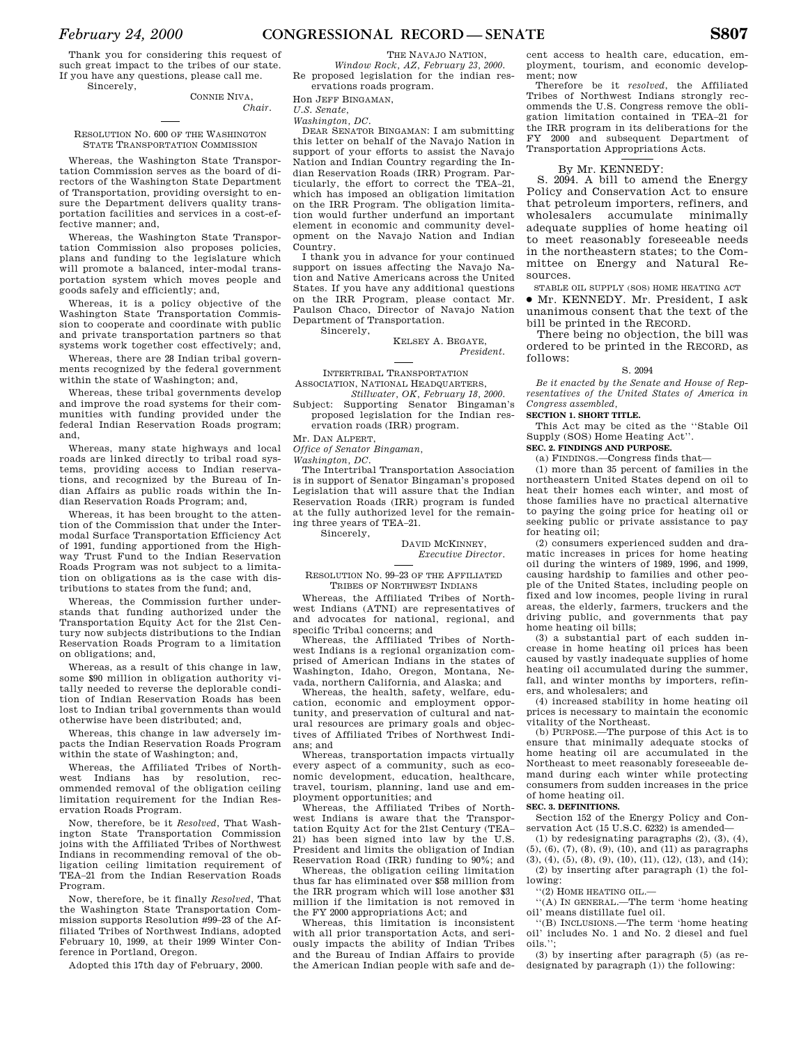Thank you for considering this request of such great impact to the tribes of our state. If you have any questions, please call me.

Sincerely,

# CONNIE NIVA,

*Chair.* 

RESOLUTION NO. 600 OF THE WASHINGTON STATE TRANSPORTATION COMMISSION

Whereas, the Washington State Transportation Commission serves as the board of directors of the Washington State Department of Transportation, providing oversight to ensure the Department delivers quality transportation facilities and services in a cost-effective manner; and,

Whereas, the Washington State Transportation Commission also proposes policies, plans and funding to the legislature which will promote a balanced, inter-modal transportation system which moves people and goods safely and efficiently; and,

Whereas, it is a policy objective of the Washington State Transportation Commission to cooperate and coordinate with public and private transportation partners so that systems work together cost effectively; and,

Whereas, there are 28 Indian tribal governments recognized by the federal government within the state of Washington; and,

Whereas, these tribal governments develop and improve the road systems for their communities with funding provided under the federal Indian Reservation Roads program; and,

Whereas, many state highways and local roads are linked directly to tribal road systems, providing access to Indian reservations, and recognized by the Bureau of Indian Affairs as public roads within the Indian Reservation Roads Program; and,

Whereas, it has been brought to the attention of the Commission that under the Intermodal Surface Transportation Efficiency Act of 1991, funding apportioned from the Highway Trust Fund to the Indian Reservation Roads Program was not subject to a limitation on obligations as is the case with distributions to states from the fund; and,

Whereas, the Commission further understands that funding authorized under the Transportation Equity Act for the 21st Century now subjects distributions to the Indian Reservation Roads Program to a limitation on obligations; and,

Whereas, as a result of this change in law, some \$90 million in obligation authority vitally needed to reverse the deplorable condition of Indian Reservation Roads has been lost to Indian tribal governments than would otherwise have been distributed; and,

Whereas, this change in law adversely impacts the Indian Reservation Roads Program within the state of Washington; and,

Whereas, the Affiliated Tribes of Northwest Indians has by resolution, recommended removal of the obligation ceiling limitation requirement for the Indian Reservation Roads Program.

Now, therefore, be it *Resolved*, That Washington State Transportation Commission joins with the Affiliated Tribes of Northwest Indians in recommending removal of the obligation ceiling limitation requirement of TEA–21 from the Indian Reservation Roads Program.

Now, therefore, be it finally *Resolved*, That the Washington State Transportation Commission supports Resolution #99–23 of the Affiliated Tribes of Northwest Indians, adopted February 10, 1999, at their 1999 Winter Conference in Portland, Oregon.

Adopted this 17th day of February, 2000.

THE NAVAJO NATION,

*Window Rock, AZ, February 23, 2000.*  Re proposed legislation for the indian reservations roads program.

Hon JEFF BINGAMAN,

*U.S. Senate, Washington, DC.* 

DEAR SENATOR BINGAMAN: I am submitting this letter on behalf of the Navajo Nation in support of your efforts to assist the Navajo Nation and Indian Country regarding the Indian Reservation Roads (IRR) Program. Particularly, the effort to correct the TEA–21, which has imposed an obligation limitation on the IRR Program. The obligation limitation would further underfund an important element in economic and community development on the Navajo Nation and Indian Country.

I thank you in advance for your continued support on issues affecting the Navajo Nation and Native Americans across the United States. If you have any additional questions on the IRR Program, please contact Mr. Paulson Chaco, Director of Navajo Nation Department of Transportation. Sincerely,

KELSEY A. BEGAYE,

*President.* 

INTERTRIBAL TRANSPORTATION ASSOCIATION, NATIONAL HEADQUARTERS,

*Stillwater, OK, February 18, 2000.*  Subject: Supporting Senator Bingaman's

proposed legislation for the Indian reservation roads (IRR) program. Mr. DAN ALPERT,

*Office of Senator Bingaman,* 

*Washington, DC.* 

The Intertribal Transportation Association is in support of Senator Bingaman's proposed Legislation that will assure that the Indian Reservation Roads (IRR) program is funded at the fully authorized level for the remaining three years of TEA–21. Sincerely,

DAVID MCKINNEY, *Executive Director.* 

## RESOLUTION NO. 99–23 OF THE AFFILIATED TRIBES OF NORTHWEST INDIANS

Whereas, the Affiliated Tribes of Northwest Indians (ATNI) are representatives of and advocates for national, regional, and specific Tribal concerns; and

Whereas, the Affiliated Tribes of Northwest Indians is a regional organization comprised of American Indians in the states of Washington, Idaho, Oregon, Montana, Nevada, northern California, and Alaska; and

Whereas, the health, safety, welfare, education, economic and employment opportunity, and preservation of cultural and natural resources are primary goals and objectives of Affiliated Tribes of Northwest Indians; and

Whereas, transportation impacts virtually every aspect of a community, such as economic development, education, healthcare, travel, tourism, planning, land use and employment opportunities; and

Whereas, the Affiliated Tribes of Northwest Indians is aware that the Transportation Equity Act for the 21st Century (TEA– 21) has been signed into law by the U.S. President and limits the obligation of Indian Reservation Road (IRR) funding to 90%; and

Whereas, the obligation ceiling limitation thus far has eliminated over \$58 million from the IRR program which will lose another \$31 million if the limitation is not removed in the FY 2000 appropriations Act; and

Whereas, this limitation is inconsistent with all prior transportation Acts, and seriously impacts the ability of Indian Tribes and the Bureau of Indian Affairs to provide the American Indian people with safe and de-

cent access to health care, education, employment, tourism, and economic development; now

Therefore be it *resolved*, the Affiliated Tribes of Northwest Indians strongly recommends the U.S. Congress remove the obligation limitation contained in TEA–21 for the IRR program in its deliberations for the FY 2000 and subsequent Department of Transportation Appropriations Acts.

# By Mr. KENNEDY:

S. 2094. A bill to amend the Energy Policy and Conservation Act to ensure that petroleum importers, refiners, and wholesalers accumulate minimally adequate supplies of home heating oil to meet reasonably foreseeable needs in the northeastern states; to the Committee on Energy and Natural Resources.

STABLE OIL SUPPLY (SOS) HOME HEATING ACT ∑ Mr. KENNEDY. Mr. President, I ask

unanimous consent that the text of the bill be printed in the RECORD. There being no objection, the bill was

ordered to be printed in the RECORD, as follows:

### S. 2094

*Be it enacted by the Senate and House of Representatives of the United States of America in Congress assembled,* 

# **SECTION 1. SHORT TITLE.**

This Act may be cited as the ''Stable Oil Supply (SOS) Home Heating Act''. **SEC. 2. FINDINGS AND PURPOSE.** 

(a) FINDINGS.—Congress finds that—

(1) more than 35 percent of families in the northeastern United States depend on oil to heat their homes each winter, and most of those families have no practical alternative to paying the going price for heating oil or seeking public or private assistance to pay for heating oil;

(2) consumers experienced sudden and dramatic increases in prices for home heating oil during the winters of 1989, 1996, and 1999, causing hardship to families and other people of the United States, including people on fixed and low incomes, people living in rural areas, the elderly, farmers, truckers and the driving public, and governments that pay home heating oil bills;

(3) a substantial part of each sudden increase in home heating oil prices has been caused by vastly inadequate supplies of home heating oil accumulated during the summer, fall, and winter months by importers, refiners, and wholesalers; and

(4) increased stability in home heating oil prices is necessary to maintain the economic vitality of the Northeast.

(b) PURPOSE.—The purpose of this Act is to ensure that minimally adequate stocks of home heating oil are accumulated in the Northeast to meet reasonably foreseeable demand during each winter while protecting consumers from sudden increases in the price of home heating oil.

# **SEC. 3. DEFINITIONS.**

Section 152 of the Energy Policy and Conservation Act (15 U.S.C. 6232) is amended—

(1) by redesignating paragraphs (2), (3), (4), (5), (6), (7), (8), (9), (10), and (11) as paragraphs (3), (4), (5), (8), (9), (10), (11), (12), (13), and (14); (2) by inserting after paragraph (1) the following:

''(2) HOME HEATING OIL.—

''(A) IN GENERAL.—The term 'home heating oil' means distillate fuel oil.

''(B) INCLUSIONS.—The term 'home heating oil' includes No. 1 and No. 2 diesel and fuel oils.'';

(3) by inserting after paragraph (5) (as redesignated by paragraph (1)) the following: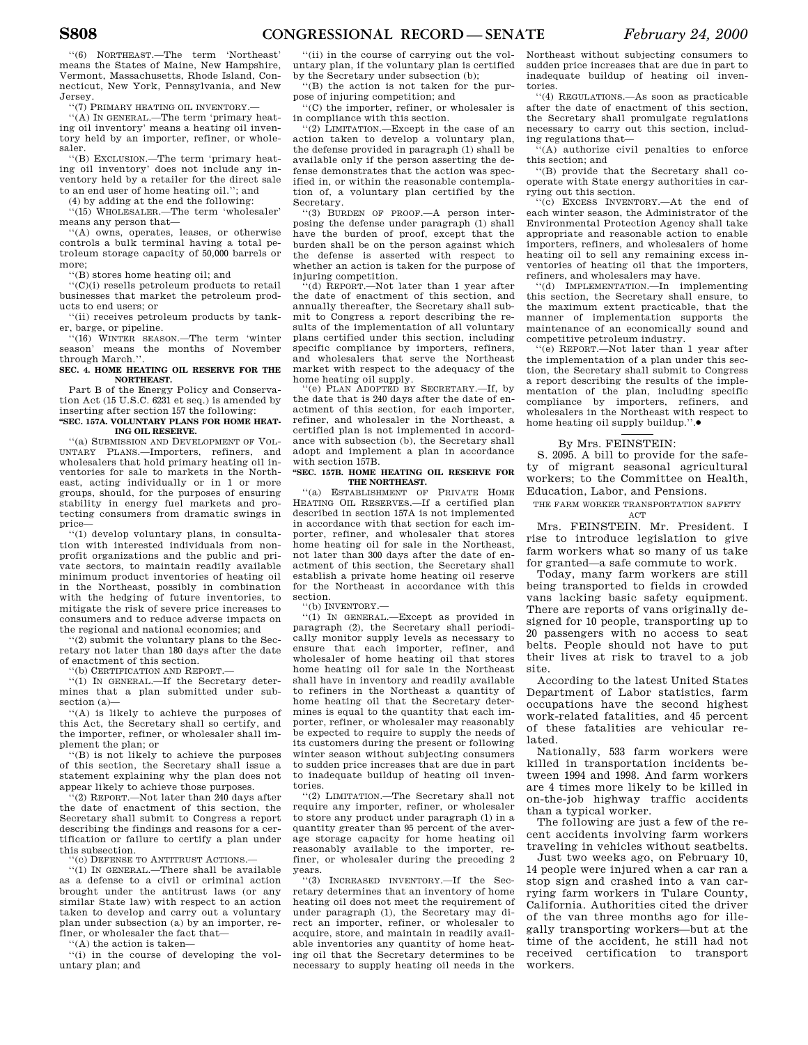''(6) NORTHEAST.—The term 'Northeast' means the States of Maine, New Hampshire, Vermont, Massachusetts, Rhode Island, Connecticut, New York, Pennsylvania, and New Jersey.

''(7) PRIMARY HEATING OIL INVENTORY.—

''(A) IN GENERAL.—The term 'primary heating oil inventory' means a heating oil inventory held by an importer, refiner, or wholesaler.

''(B) EXCLUSION.—The term 'primary heating oil inventory' does not include any inventory held by a retailer for the direct sale to an end user of home heating oil.''; and

(4) by adding at the end the following:

''(15) WHOLESALER.—The term 'wholesaler' means any person that—

''(A) owns, operates, leases, or otherwise controls a bulk terminal having a total petroleum storage capacity of 50,000 barrels or more;

''(B) stores home heating oil; and

''(C)(i) resells petroleum products to retail businesses that market the petroleum products to end users; or

''(ii) receives petroleum products by tanker, barge, or pipeline.

''(16) WINTER SEASON.—The term 'winter season' means the months of November through March."

# **SEC. 4. HOME HEATING OIL RESERVE FOR THE NORTHEAST.**

Part B of the Energy Policy and Conservation Act (15 U.S.C. 6231 et seq.) is amended by inserting after section 157 the following:

#### **''SEC. 157A. VOLUNTARY PLANS FOR HOME HEAT-ING OIL RESERVE.**

''(a) SUBMISSION AND DEVELOPMENT OF VOL-UNTARY PLANS.—Importers, refiners, and wholesalers that hold primary heating oil inventories for sale to markets in the Northeast, acting individually or in 1 or more groups, should, for the purposes of ensuring stability in energy fuel markets and protecting consumers from dramatic swings in price—

''(1) develop voluntary plans, in consultation with interested individuals from nonprofit organizations and the public and private sectors, to maintain readily available minimum product inventories of heating oil in the Northeast, possibly in combination with the hedging of future inventories, to mitigate the risk of severe price increases to consumers and to reduce adverse impacts on the regional and national economies; and

''(2) submit the voluntary plans to the Secretary not later than 180 days after the date of enactment of this section.

''(b) CERTIFICATION AND REPORT.—

''(1) IN GENERAL.—If the Secretary determines that a plan submitted under subsection (a)—

''(A) is likely to achieve the purposes of this Act, the Secretary shall so certify, and the importer, refiner, or wholesaler shall implement the plan; or

''(B) is not likely to achieve the purposes of this section, the Secretary shall issue a statement explaining why the plan does not appear likely to achieve those purposes.

(2) REPORT.—Not later than 240 days after the date of enactment of this section, the Secretary shall submit to Congress a report describing the findings and reasons for a certification or failure to certify a plan under this subsection.

''(c) DEFENSE TO ANTITRUST ACTIONS.—

''(1) IN GENERAL.—There shall be available as a defense to a civil or criminal action brought under the antitrust laws (or any similar State law) with respect to an action taken to develop and carry out a voluntary plan under subsection (a) by an importer, refiner, or wholesaler the fact that—

''(A) the action is taken—

''(i) in the course of developing the voluntary plan; and

''(ii) in the course of carrying out the voluntary plan, if the voluntary plan is certified by the Secretary under subsection (b);

''(B) the action is not taken for the purpose of injuring competition; and

''(C) the importer, refiner, or wholesaler is in compliance with this section.

''(2) LIMITATION.—Except in the case of an action taken to develop a voluntary plan, the defense provided in paragraph (1) shall be available only if the person asserting the defense demonstrates that the action was specified in, or within the reasonable contemplation of, a voluntary plan certified by the Secretary.

''(3) BURDEN OF PROOF.—A person interposing the defense under paragraph (1) shall have the burden of proof, except that the burden shall be on the person against which the defense is asserted with respect to whether an action is taken for the purpose of injuring competition.

''(d) REPORT.—Not later than 1 year after the date of enactment of this section, and annually thereafter, the Secretary shall submit to Congress a report describing the results of the implementation of all voluntary plans certified under this section, including specific compliance by importers, refiners, and wholesalers that serve the Northeast market with respect to the adequacy of the home heating oil supply.

''(e) PLAN ADOPTED BY SECRETARY.—If, by the date that is 240 days after the date of enactment of this section, for each importer, refiner, and wholesaler in the Northeast, a certified plan is not implemented in accordance with subsection (b), the Secretary shall adopt and implement a plan in accordance with section 157B.

### **''SEC. 157B. HOME HEATING OIL RESERVE FOR THE NORTHEAST.**

''(a) ESTABLISHMENT OF PRIVATE HOME HEATING OIL RESERVES.—If a certified plan described in section 157A is not implemented in accordance with that section for each importer, refiner, and wholesaler that stores home heating oil for sale in the Northeast, not later than 300 days after the date of enactment of this section, the Secretary shall establish a private home heating oil reserve for the Northeast in accordance with this section.

''(b) INVENTORY.—

''(1) IN GENERAL.—Except as provided in paragraph (2), the Secretary shall periodically monitor supply levels as necessary to ensure that each importer, refiner, and wholesaler of home heating oil that stores home heating oil for sale in the Northeast shall have in inventory and readily available to refiners in the Northeast a quantity of home heating oil that the Secretary determines is equal to the quantity that each importer, refiner, or wholesaler may reasonably be expected to require to supply the needs of its customers during the present or following winter season without subjecting consumers to sudden price increases that are due in part to inadequate buildup of heating oil inventories.

''(2) LIMITATION.—The Secretary shall not require any importer, refiner, or wholesaler to store any product under paragraph (1) in a quantity greater than 95 percent of the average storage capacity for home heating oil reasonably available to the importer, refiner, or wholesaler during the preceding 2 years.

''(3) INCREASED INVENTORY.—If the Secretary determines that an inventory of home heating oil does not meet the requirement of under paragraph (1), the Secretary may direct an importer, refiner, or wholesaler to acquire, store, and maintain in readily available inventories any quantity of home heating oil that the Secretary determines to be necessary to supply heating oil needs in the

Northeast without subjecting consumers to sudden price increases that are due in part to inadequate buildup of heating oil inventories.

''(4) REGULATIONS.—As soon as practicable after the date of enactment of this section, the Secretary shall promulgate regulations necessary to carry out this section, including regulations that—

''(A) authorize civil penalties to enforce this section; and

''(B) provide that the Secretary shall cooperate with State energy authorities in carrying out this section.

''(c) EXCESS INVENTORY.—At the end of each winter season, the Administrator of the Environmental Protection Agency shall take appropriate and reasonable action to enable importers, refiners, and wholesalers of home heating oil to sell any remaining excess inventories of heating oil that the importers, refiners, and wholesalers may have.

''(d) IMPLEMENTATION.—In implementing this section, the Secretary shall ensure, to the maximum extent practicable, that the manner of implementation supports the maintenance of an economically sound and competitive petroleum industry.

'(e) REPORT.—Not later than 1 year after the implementation of a plan under this section, the Secretary shall submit to Congress a report describing the results of the implementation of the plan, including specific compliance by importers, refiners, and wholesalers in the Northeast with respect to home heating oil supply buildup.".●

# By Mrs. FEINSTEIN:

S. 2095. A bill to provide for the safety of migrant seasonal agricultural workers; to the Committee on Health, Education, Labor, and Pensions.

THE FARM WORKER TRANSPORTATION SAFETY ACT

Mrs. FEINSTEIN. Mr. President. I rise to introduce legislation to give farm workers what so many of us take for granted—a safe commute to work.

Today, many farm workers are still being transported to fields in crowded vans lacking basic safety equipment. There are reports of vans originally designed for 10 people, transporting up to 20 passengers with no access to seat belts. People should not have to put their lives at risk to travel to a job site.

According to the latest United States Department of Labor statistics, farm occupations have the second highest work-related fatalities, and 45 percent of these fatalities are vehicular related.

Nationally, 533 farm workers were killed in transportation incidents between 1994 and 1998. And farm workers are 4 times more likely to be killed in on-the-job highway traffic accidents than a typical worker.

The following are just a few of the recent accidents involving farm workers traveling in vehicles without seatbelts.

Just two weeks ago, on February 10, 14 people were injured when a car ran a stop sign and crashed into a van carrying farm workers in Tulare County, California. Authorities cited the driver of the van three months ago for illegally transporting workers—but at the time of the accident, he still had not received certification to transport workers.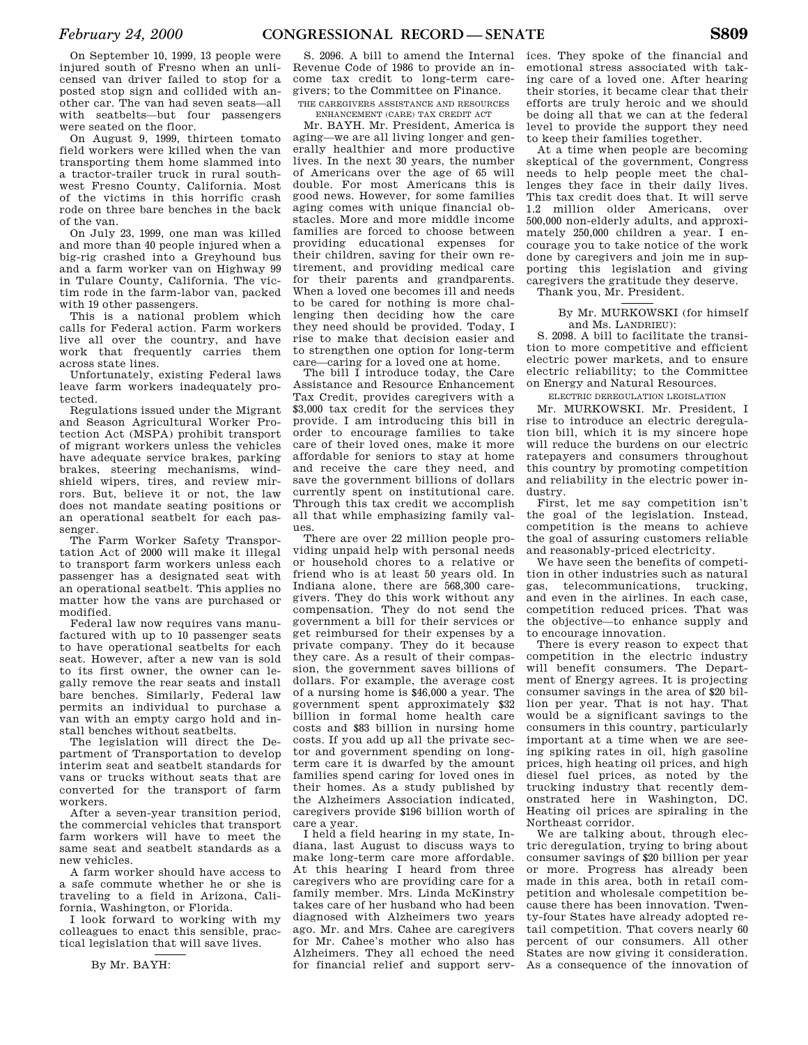On September 10, 1999, 13 people were injured south of Fresno when an unlicensed van driver failed to stop for a posted stop sign and collided with another car. The van had seven seats—all with seatbelts—but four passengers were seated on the floor.

On August 9, 1999, thirteen tomato field workers were killed when the van transporting them home slammed into a tractor-trailer truck in rural southwest Fresno County, California. Most of the victims in this horrific crash rode on three bare benches in the back of the van.

On July 23, 1999, one man was killed and more than 40 people injured when a big-rig crashed into a Greyhound bus and a farm worker van on Highway 99 in Tulare County, California. The victim rode in the farm-labor van, packed with 19 other passengers.

This is a national problem which calls for Federal action. Farm workers live all over the country, and have work that frequently carries them across state lines.

Unfortunately, existing Federal laws leave farm workers inadequately protected.

Regulations issued under the Migrant and Season Agricultural Worker Protection Act (MSPA) prohibit transport of migrant workers unless the vehicles have adequate service brakes, parking brakes, steering mechanisms, windshield wipers, tires, and review mirrors. But, believe it or not, the law does not mandate seating positions or an operational seatbelt for each passenger.

The Farm Worker Safety Transportation Act of 2000 will make it illegal to transport farm workers unless each passenger has a designated seat with an operational seatbelt. This applies no matter how the vans are purchased or modified.

Federal law now requires vans manufactured with up to 10 passenger seats to have operational seatbelts for each seat. However, after a new van is sold to its first owner, the owner can legally remove the rear seats and install bare benches. Similarly, Federal law permits an individual to purchase a van with an empty cargo hold and install benches without seatbelts.

The legislation will direct the Department of Transportation to develop interim seat and seatbelt standards for vans or trucks without seats that are converted for the transport of farm workers.

After a seven-year transition period, the commercial vehicles that transport farm workers will have to meet the same seat and seatbelt standards as a new vehicles.

A farm worker should have access to a safe commute whether he or she is traveling to a field in Arizona, California, Washington, or Florida.

I look forward to working with my colleagues to enact this sensible, practical legislation that will save lives.

S. 2096. A bill to amend the Internal Revenue Code of 1986 to provide an income tax credit to long-term caregivers; to the Committee on Finance. THE CAREGIVERS ASSISTANCE AND RESOURCES

ENHANCEMENT (CARE) TAX CREDIT ACT

Mr. BAYH. Mr. President, America is aging—we are all living longer and generally healthier and more productive lives. In the next 30 years, the number of Americans over the age of 65 will double. For most Americans this is good news. However, for some families aging comes with unique financial obstacles. More and more middle income families are forced to choose between providing educational expenses for their children, saving for their own retirement, and providing medical care for their parents and grandparents. When a loved one becomes ill and needs to be cared for nothing is more challenging then deciding how the care they need should be provided. Today, I rise to make that decision easier and to strengthen one option for long-term care—caring for a loved one at home.

The bill I introduce today, the Care Assistance and Resource Enhancement Tax Credit, provides caregivers with a \$3,000 tax credit for the services they provide. I am introducing this bill in order to encourage families to take care of their loved ones, make it more affordable for seniors to stay at home and receive the care they need, and save the government billions of dollars currently spent on institutional care. Through this tax credit we accomplish all that while emphasizing family values.

There are over 22 million people providing unpaid help with personal needs or household chores to a relative or friend who is at least 50 years old. In Indiana alone, there are 568,300 caregivers. They do this work without any compensation. They do not send the government a bill for their services or get reimbursed for their expenses by a private company. They do it because they care. As a result of their compassion, the government saves billions of dollars. For example, the average cost of a nursing home is \$46,000 a year. The government spent approximately \$32 billion in formal home health care costs and \$83 billion in nursing home costs. If you add up all the private sector and government spending on longterm care it is dwarfed by the amount families spend caring for loved ones in their homes. As a study published by the Alzheimers Association indicated, caregivers provide \$196 billion worth of care a year.

I held a field hearing in my state, Indiana, last August to discuss ways to make long-term care more affordable. At this hearing I heard from three caregivers who are providing care for a family member. Mrs. Linda McKinstry takes care of her husband who had been diagnosed with Alzheimers two years ago. Mr. and Mrs. Cahee are caregivers for Mr. Cahee's mother who also has Alzheimers. They all echoed the need for financial relief and support serv-

ices. They spoke of the financial and emotional stress associated with taking care of a loved one. After hearing their stories, it became clear that their efforts are truly heroic and we should be doing all that we can at the federal level to provide the support they need to keep their families together.

At a time when people are becoming skeptical of the government, Congress needs to help people meet the challenges they face in their daily lives. This tax credit does that. It will serve 1.2 million older Americans, over 500,000 non-elderly adults, and approximately 250,000 children a year. I encourage you to take notice of the work done by caregivers and join me in supporting this legislation and giving caregivers the gratitude they deserve.

Thank you, Mr. President.

By Mr. MURKOWSKI (for himself and Ms. LANDRIEU):

S. 2098. A bill to facilitate the transition to more competitive and efficient electric power markets, and to ensure electric reliability; to the Committee on Energy and Natural Resources.

ELECTRIC DEREGULATION LEGISLATION

Mr. MURKOWSKI. Mr. President, I rise to introduce an electric deregulation bill, which it is my sincere hope will reduce the burdens on our electric ratepayers and consumers throughout this country by promoting competition and reliability in the electric power industry.

First, let me say competition isn't the goal of the legislation. Instead, competition is the means to achieve the goal of assuring customers reliable and reasonably-priced electricity.

We have seen the benefits of competition in other industries such as natural gas, telecommunications, trucking, and even in the airlines. In each case, competition reduced prices. That was the objective—to enhance supply and to encourage innovation.

There is every reason to expect that competition in the electric industry will benefit consumers. The Department of Energy agrees. It is projecting consumer savings in the area of \$20 billion per year. That is not hay. That would be a significant savings to the consumers in this country, particularly important at a time when we are seeing spiking rates in oil, high gasoline prices, high heating oil prices, and high diesel fuel prices, as noted by the trucking industry that recently demonstrated here in Washington, DC. Heating oil prices are spiraling in the Northeast corridor.

We are talking about, through electric deregulation, trying to bring about consumer savings of \$20 billion per year or more. Progress has already been made in this area, both in retail competition and wholesale competition because there has been innovation. Twenty-four States have already adopted retail competition. That covers nearly 60 percent of our consumers. All other States are now giving it consideration. As a consequence of the innovation of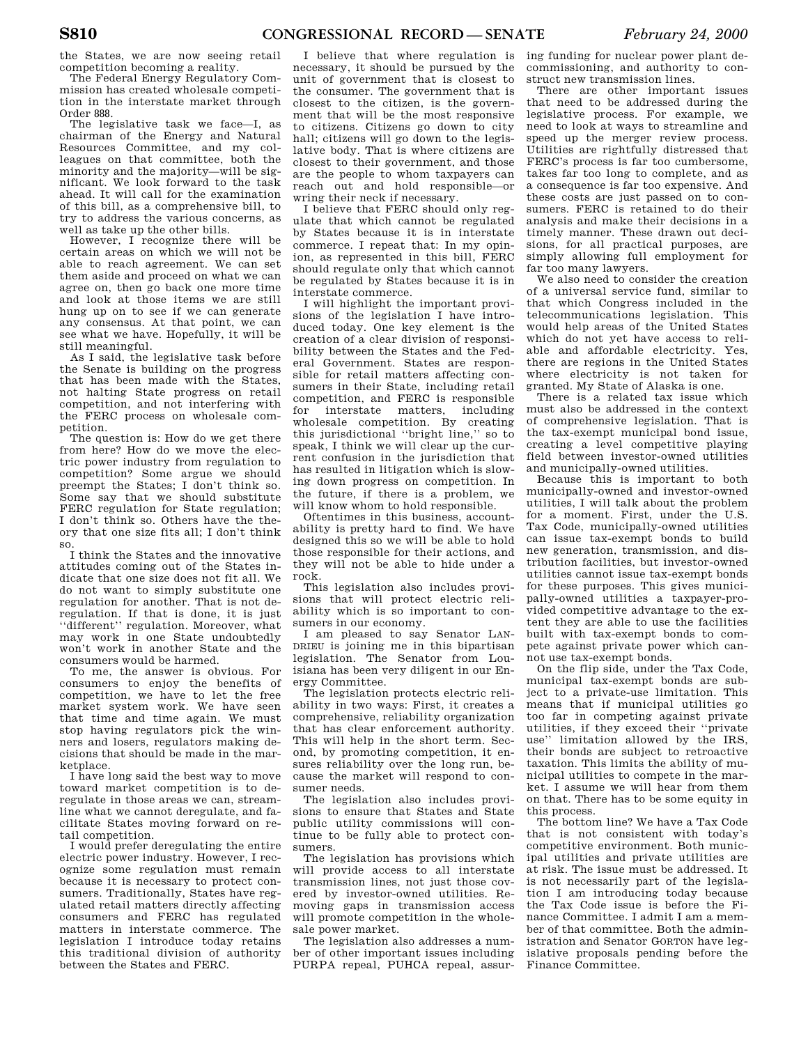the States, we are now seeing retail competition becoming a reality.

The Federal Energy Regulatory Commission has created wholesale competition in the interstate market through Order 888.

The legislative task we face—I, as chairman of the Energy and Natural Resources Committee, and my colleagues on that committee, both the minority and the majority—will be significant. We look forward to the task ahead. It will call for the examination of this bill, as a comprehensive bill, to try to address the various concerns, as well as take up the other bills.

However, I recognize there will be certain areas on which we will not be able to reach agreement. We can set them aside and proceed on what we can agree on, then go back one more time and look at those items we are still hung up on to see if we can generate any consensus. At that point, we can see what we have. Hopefully, it will be still meaningful.

As I said, the legislative task before the Senate is building on the progress that has been made with the States, not halting State progress on retail competition, and not interfering with the FERC process on wholesale competition.

The question is: How do we get there from here? How do we move the electric power industry from regulation to competition? Some argue we should preempt the States; I don't think so. Some say that we should substitute FERC regulation for State regulation; I don't think so. Others have the theory that one size fits all; I don't think so.

I think the States and the innovative attitudes coming out of the States indicate that one size does not fit all. We do not want to simply substitute one regulation for another. That is not deregulation. If that is done, it is just ''different'' regulation. Moreover, what may work in one State undoubtedly won't work in another State and the consumers would be harmed.

To me, the answer is obvious. For consumers to enjoy the benefits of competition, we have to let the free market system work. We have seen that time and time again. We must stop having regulators pick the winners and losers, regulators making decisions that should be made in the marketplace.

I have long said the best way to move toward market competition is to deregulate in those areas we can, streamline what we cannot deregulate, and facilitate States moving forward on retail competition.

I would prefer deregulating the entire electric power industry. However, I recognize some regulation must remain because it is necessary to protect consumers. Traditionally, States have regulated retail matters directly affecting consumers and FERC has regulated matters in interstate commerce. The legislation I introduce today retains this traditional division of authority between the States and FERC.

I believe that where regulation is necessary, it should be pursued by the unit of government that is closest to the consumer. The government that is closest to the citizen, is the government that will be the most responsive to citizens. Citizens go down to city hall; citizens will go down to the legislative body. That is where citizens are closest to their government, and those are the people to whom taxpayers can reach out and hold responsible—or wring their neck if necessary.

I believe that FERC should only regulate that which cannot be regulated by States because it is in interstate commerce. I repeat that: In my opinion, as represented in this bill, FERC should regulate only that which cannot be regulated by States because it is in interstate commerce.

I will highlight the important provisions of the legislation I have introduced today. One key element is the creation of a clear division of responsibility between the States and the Federal Government. States are responsible for retail matters affecting consumers in their State, including retail competition, and FERC is responsible for interstate matters, including wholesale competition. By creating this jurisdictional ''bright line,'' so to speak, I think we will clear up the current confusion in the jurisdiction that has resulted in litigation which is slowing down progress on competition. In the future, if there is a problem, we will know whom to hold responsible.

Oftentimes in this business, accountability is pretty hard to find. We have designed this so we will be able to hold those responsible for their actions, and they will not be able to hide under a rock.

This legislation also includes provisions that will protect electric reliability which is so important to consumers in our economy.

I am pleased to say Senator LAN-DRIEU is joining me in this bipartisan legislation. The Senator from Louisiana has been very diligent in our Energy Committee.

The legislation protects electric reliability in two ways: First, it creates a comprehensive, reliability organization that has clear enforcement authority. This will help in the short term. Second, by promoting competition, it ensures reliability over the long run, because the market will respond to consumer needs.

The legislation also includes provisions to ensure that States and State public utility commissions will continue to be fully able to protect consumers.

The legislation has provisions which will provide access to all interstate transmission lines, not just those covered by investor-owned utilities. Removing gaps in transmission access will promote competition in the wholesale power market.

The legislation also addresses a number of other important issues including PURPA repeal, PUHCA repeal, assur-

ing funding for nuclear power plant decommissioning, and authority to construct new transmission lines.

There are other important issues that need to be addressed during the legislative process. For example, we need to look at ways to streamline and speed up the merger review process. Utilities are rightfully distressed that FERC's process is far too cumbersome, takes far too long to complete, and as a consequence is far too expensive. And these costs are just passed on to consumers. FERC is retained to do their analysis and make their decisions in a timely manner. These drawn out decisions, for all practical purposes, are simply allowing full employment for far too many lawyers.

We also need to consider the creation of a universal service fund, similar to that which Congress included in the telecommunications legislation. This would help areas of the United States which do not yet have access to reliable and affordable electricity. Yes, there are regions in the United States where electricity is not taken for granted. My State of Alaska is one.

There is a related tax issue which must also be addressed in the context of comprehensive legislation. That is the tax-exempt municipal bond issue, creating a level competitive playing field between investor-owned utilities and municipally-owned utilities.

Because this is important to both municipally-owned and investor-owned utilities, I will talk about the problem for a moment. First, under the U.S. Tax Code, municipally-owned utilities can issue tax-exempt bonds to build new generation, transmission, and distribution facilities, but investor-owned utilities cannot issue tax-exempt bonds for these purposes. This gives municipally-owned utilities a taxpayer-provided competitive advantage to the extent they are able to use the facilities built with tax-exempt bonds to compete against private power which cannot use tax-exempt bonds.

On the flip side, under the Tax Code, municipal tax-exempt bonds are subject to a private-use limitation. This means that if municipal utilities go too far in competing against private utilities, if they exceed their ''private use'' limitation allowed by the IRS, their bonds are subject to retroactive taxation. This limits the ability of municipal utilities to compete in the market. I assume we will hear from them on that. There has to be some equity in this process.

The bottom line? We have a Tax Code that is not consistent with today's competitive environment. Both municipal utilities and private utilities are at risk. The issue must be addressed. It is not necessarily part of the legislation I am introducing today because the Tax Code issue is before the Finance Committee. I admit I am a member of that committee. Both the administration and Senator GORTON have legislative proposals pending before the Finance Committee.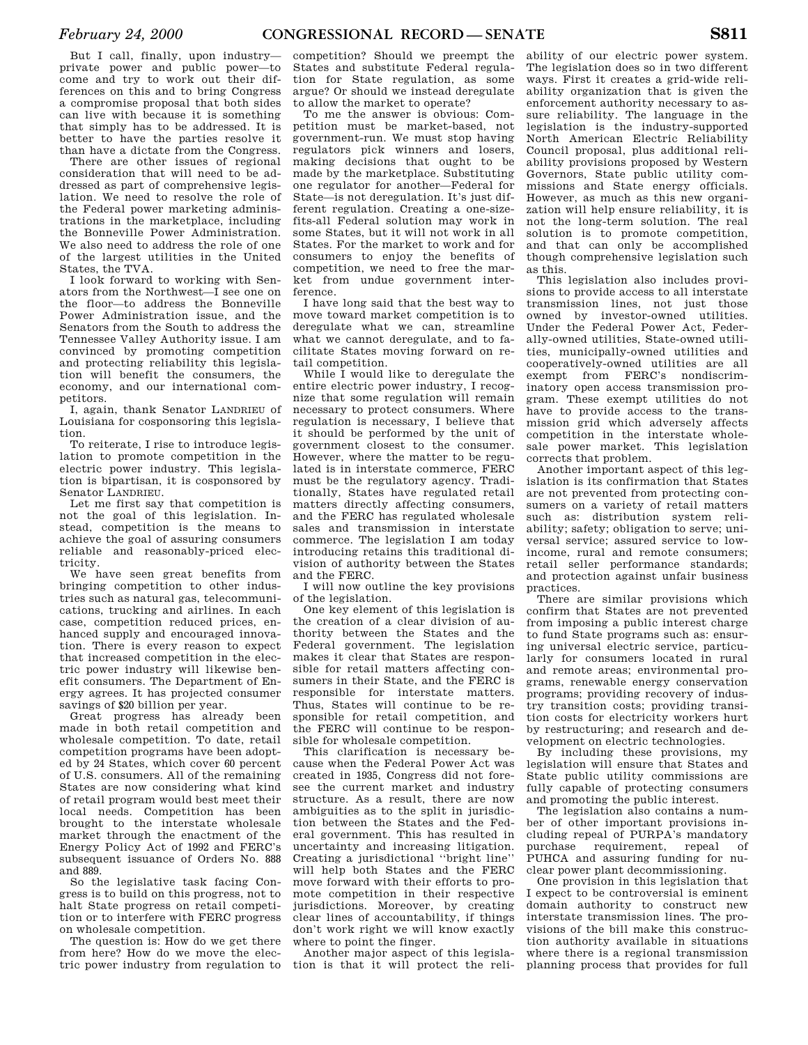But I call, finally, upon industry private power and public power—to come and try to work out their differences on this and to bring Congress a compromise proposal that both sides can live with because it is something that simply has to be addressed. It is better to have the parties resolve it than have a dictate from the Congress.

There are other issues of regional consideration that will need to be addressed as part of comprehensive legislation. We need to resolve the role of the Federal power marketing administrations in the marketplace, including the Bonneville Power Administration. We also need to address the role of one of the largest utilities in the United States, the TVA.

I look forward to working with Senators from the Northwest—I see one on the floor—to address the Bonneville Power Administration issue, and the Senators from the South to address the Tennessee Valley Authority issue. I am convinced by promoting competition and protecting reliability this legislation will benefit the consumers, the economy, and our international competitors.

I, again, thank Senator LANDRIEU of Louisiana for cosponsoring this legislation.

To reiterate, I rise to introduce legislation to promote competition in the electric power industry. This legislation is bipartisan, it is cosponsored by Senator LANDRIEU.

Let me first say that competition is not the goal of this legislation. Instead, competition is the means to achieve the goal of assuring consumers reliable and reasonably-priced electricity.

We have seen great benefits from bringing competition to other industries such as natural gas, telecommunications, trucking and airlines. In each case, competition reduced prices, enhanced supply and encouraged innovation. There is every reason to expect that increased competition in the electric power industry will likewise benefit consumers. The Department of Energy agrees. It has projected consumer savings of \$20 billion per year.

Great progress has already been made in both retail competition and wholesale competition. To date, retail competition programs have been adopted by 24 States, which cover 60 percent of U.S. consumers. All of the remaining States are now considering what kind of retail program would best meet their local needs. Competition has been brought to the interstate wholesale market through the enactment of the Energy Policy Act of 1992 and FERC's subsequent issuance of Orders No. 888 and 889.

So the legislative task facing Congress is to build on this progress, not to halt State progress on retail competition or to interfere with FERC progress on wholesale competition.

The question is: How do we get there from here? How do we move the electric power industry from regulation to competition? Should we preempt the States and substitute Federal regulation for State regulation, as some argue? Or should we instead deregulate to allow the market to operate?

To me the answer is obvious: Competition must be market-based, not government-run. We must stop having regulators pick winners and losers, making decisions that ought to be made by the marketplace. Substituting one regulator for another—Federal for State—is not deregulation. It's just different regulation. Creating a one-sizefits-all Federal solution may work in some States, but it will not work in all States. For the market to work and for consumers to enjoy the benefits of competition, we need to free the market from undue government interference.

I have long said that the best way to move toward market competition is to deregulate what we can, streamline what we cannot deregulate, and to facilitate States moving forward on retail competition.

While I would like to deregulate the entire electric power industry, I recognize that some regulation will remain necessary to protect consumers. Where regulation is necessary, I believe that it should be performed by the unit of government closest to the consumer. However, where the matter to be regulated is in interstate commerce, FERC must be the regulatory agency. Traditionally, States have regulated retail matters directly affecting consumers, and the FERC has regulated wholesale sales and transmission in interstate commerce. The legislation I am today introducing retains this traditional division of authority between the States and the FERC.

I will now outline the key provisions of the legislation.

One key element of this legislation is the creation of a clear division of authority between the States and the Federal government. The legislation makes it clear that States are responsible for retail matters affecting consumers in their State, and the FERC is responsible for interstate matters. Thus, States will continue to be responsible for retail competition, and the FERC will continue to be responsible for wholesale competition.

This clarification is necessary because when the Federal Power Act was created in 1935, Congress did not foresee the current market and industry structure. As a result, there are now ambiguities as to the split in jurisdiction between the States and the Federal government. This has resulted in uncertainty and increasing litigation. Creating a jurisdictional ''bright line'' will help both States and the FERC move forward with their efforts to promote competition in their respective jurisdictions. Moreover, by creating clear lines of accountability, if things don't work right we will know exactly where to point the finger.

Another major aspect of this legislation is that it will protect the reli-

ability of our electric power system. The legislation does so in two different ways. First it creates a grid-wide reliability organization that is given the enforcement authority necessary to assure reliability. The language in the legislation is the industry-supported North American Electric Reliability Council proposal, plus additional reliability provisions proposed by Western Governors, State public utility commissions and State energy officials. However, as much as this new organization will help ensure reliability, it is not the long-term solution. The real solution is to promote competition, and that can only be accomplished though comprehensive legislation such as this.

This legislation also includes provisions to provide access to all interstate transmission lines, not just those owned by investor-owned utilities. Under the Federal Power Act, Federally-owned utilities, State-owned utilities, municipally-owned utilities and cooperatively-owned utilities are all exempt from FERC's nondiscriminatory open access transmission program. These exempt utilities do not have to provide access to the transmission grid which adversely affects competition in the interstate wholesale power market. This legislation corrects that problem.

Another important aspect of this legislation is its confirmation that States are not prevented from protecting consumers on a variety of retail matters such as: distribution system reliability; safety; obligation to serve; universal service; assured service to lowincome, rural and remote consumers; retail seller performance standards; and protection against unfair business practices.

There are similar provisions which confirm that States are not prevented from imposing a public interest charge to fund State programs such as: ensuring universal electric service, particularly for consumers located in rural and remote areas; environmental programs, renewable energy conservation programs; providing recovery of industry transition costs; providing transition costs for electricity workers hurt by restructuring; and research and development on electric technologies.

By including these provisions, my legislation will ensure that States and State public utility commissions are fully capable of protecting consumers and promoting the public interest.

The legislation also contains a number of other important provisions including repeal of PURPA's mandatory purchase requirement, repeal PUHCA and assuring funding for nuclear power plant decommissioning.

One provision in this legislation that I expect to be controversial is eminent domain authority to construct new interstate transmission lines. The provisions of the bill make this construction authority available in situations where there is a regional transmission planning process that provides for full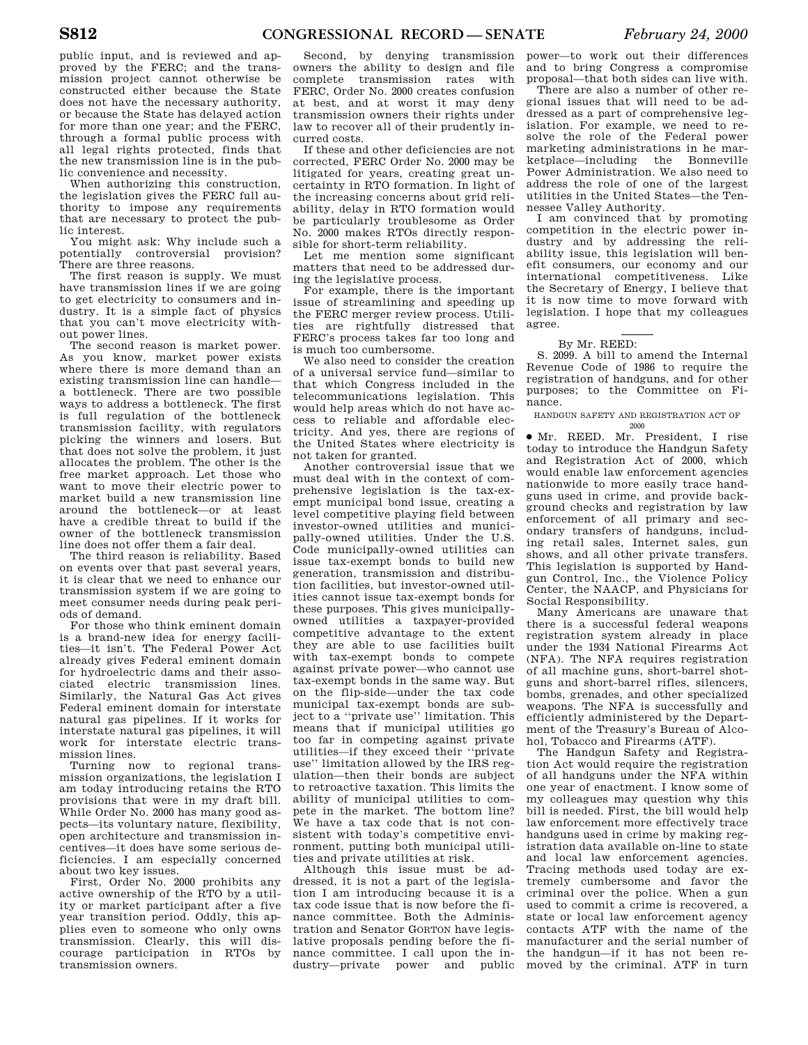public input, and is reviewed and approved by the FERC; and the transmission project cannot otherwise be constructed either because the State does not have the necessary authority, or because the State has delayed action for more than one year; and the FERC, through a formal public process with all legal rights protected, finds that the new transmission line is in the public convenience and necessity.

When authorizing this construction, the legislation gives the FERC full authority to impose any requirements that are necessary to protect the public interest.

You might ask: Why include such a potentially controversial provision? There are three reasons.

The first reason is supply. We must have transmission lines if we are going to get electricity to consumers and industry. It is a simple fact of physics that you can't move electricity without power lines.

The second reason is market power. As you know, market power exists where there is more demand than an existing transmission line can handle a bottleneck. There are two possible ways to address a bottleneck. The first is full regulation of the bottleneck transmission facility, with regulators picking the winners and losers. But that does not solve the problem, it just allocates the problem. The other is the free market approach. Let those who want to move their electric power to market build a new transmission line around the bottleneck—or at least have a credible threat to build if the owner of the bottleneck transmission line does not offer them a fair deal.

The third reason is reliability. Based on events over that past several years, it is clear that we need to enhance our transmission system if we are going to meet consumer needs during peak periods of demand.

For those who think eminent domain is a brand-new idea for energy facilities—it isn't. The Federal Power Act already gives Federal eminent domain for hydroelectric dams and their associated electric transmission lines. Similarly, the Natural Gas Act gives Federal eminent domain for interstate natural gas pipelines. If it works for interstate natural gas pipelines, it will work for interstate electric transmission lines.

Turning now to regional transmission organizations, the legislation I am today introducing retains the RTO provisions that were in my draft bill. While Order No. 2000 has many good aspects—its voluntary nature, flexibility, open architecture and transmission incentives—it does have some serious deficiencies. I am especially concerned about two key issues.

First, Order No. 2000 prohibits any active ownership of the RTO by a utility or market participant after a five year transition period. Oddly, this applies even to someone who only owns transmission. Clearly, this will discourage participation in RTOs by transmission owners.

Second, by denying transmission owners the ability to design and file complete transmission rates with FERC, Order No. 2000 creates confusion at best, and at worst it may deny transmission owners their rights under law to recover all of their prudently incurred costs.

If these and other deficiencies are not corrected, FERC Order No. 2000 may be litigated for years, creating great uncertainty in RTO formation. In light of the increasing concerns about grid reliability, delay in RTO formation would be particularly troublesome as Order No. 2000 makes RTOs directly responsible for short-term reliability.

Let me mention some significant matters that need to be addressed during the legislative process.

For example, there is the important issue of streamlining and speeding up the FERC merger review process. Utilities are rightfully distressed that FERC's process takes far too long and is much too cumbersome.

We also need to consider the creation of a universal service fund—similar to that which Congress included in the telecommunications legislation. This would help areas which do not have access to reliable and affordable electricity. And yes, there are regions of the United States where electricity is not taken for granted.

Another controversial issue that we must deal with in the context of comprehensive legislation is the tax-exempt municipal bond issue, creating a level competitive playing field between investor-owned utilities and municipally-owned utilities. Under the U.S. Code municipally-owned utilities can issue tax-exempt bonds to build new generation, transmission and distribution facilities, but investor-owned utilities cannot issue tax-exempt bonds for these purposes. This gives municipallyowned utilities a taxpayer-provided competitive advantage to the extent they are able to use facilities built with tax-exempt bonds to compete against private power—who cannot use tax-exempt bonds in the same way. But on the flip-side—under the tax code municipal tax-exempt bonds are subject to a ''private use'' limitation. This means that if municipal utilities go too far in competing against private utilities—if they exceed their ''private use'' limitation allowed by the IRS regulation—then their bonds are subject to retroactive taxation. This limits the ability of municipal utilities to compete in the market. The bottom line? We have a tax code that is not consistent with today's competitive environment, putting both municipal utilities and private utilities at risk.

Although this issue must be addressed, it is not a part of the legislation I am introducing because it is a tax code issue that is now before the finance committee. Both the Administration and Senator GORTON have legislative proposals pending before the finance committee. I call upon the industry—private power and public

power—to work out their differences and to bring Congress a compromise proposal—that both sides can live with.

There are also a number of other regional issues that will need to be addressed as a part of comprehensive legislation. For example, we need to resolve the role of the Federal power marketing administrations in he marketplace—including the Bonneville Power Administration. We also need to address the role of one of the largest utilities in the United States—the Tennessee Valley Authority.

I am convinced that by promoting competition in the electric power industry and by addressing the reliability issue, this legislation will benefit consumers, our economy and our international competitiveness. Like the Secretary of Energy, I believe that it is now time to move forward with legislation. I hope that my colleagues agree.

# By Mr. REED:

S. 2099. A bill to amend the Internal Revenue Code of 1986 to require the registration of handguns, and for other purposes; to the Committee on Finance.

#### HANDGUN SAFETY AND REGISTRATION ACT OF 2000

∑ Mr. REED. Mr. President, I rise today to introduce the Handgun Safety and Registration Act of 2000, which would enable law enforcement agencies nationwide to more easily trace handguns used in crime, and provide background checks and registration by law enforcement of all primary and secondary transfers of handguns, including retail sales, Internet sales, gun shows, and all other private transfers. This legislation is supported by Handgun Control, Inc., the Violence Policy Center, the NAACP, and Physicians for Social Responsibility.

Many Americans are unaware that there is a successful federal weapons registration system already in place under the 1934 National Firearms Act (NFA). The NFA requires registration of all machine guns, short-barrel shotguns and short-barrel rifles, silencers, bombs, grenades, and other specialized weapons. The NFA is successfully and efficiently administered by the Department of the Treasury's Bureau of Alcohol, Tobacco and Firearms (ATF).

The Handgun Safety and Registration Act would require the registration of all handguns under the NFA within one year of enactment. I know some of my colleagues may question why this bill is needed. First, the bill would help law enforcement more effectively trace handguns used in crime by making registration data available on-line to state and local law enforcement agencies. Tracing methods used today are extremely cumbersome and favor the criminal over the police. When a gun used to commit a crime is recovered, a state or local law enforcement agency contacts ATF with the name of the manufacturer and the serial number of the handgun—if it has not been removed by the criminal. ATF in turn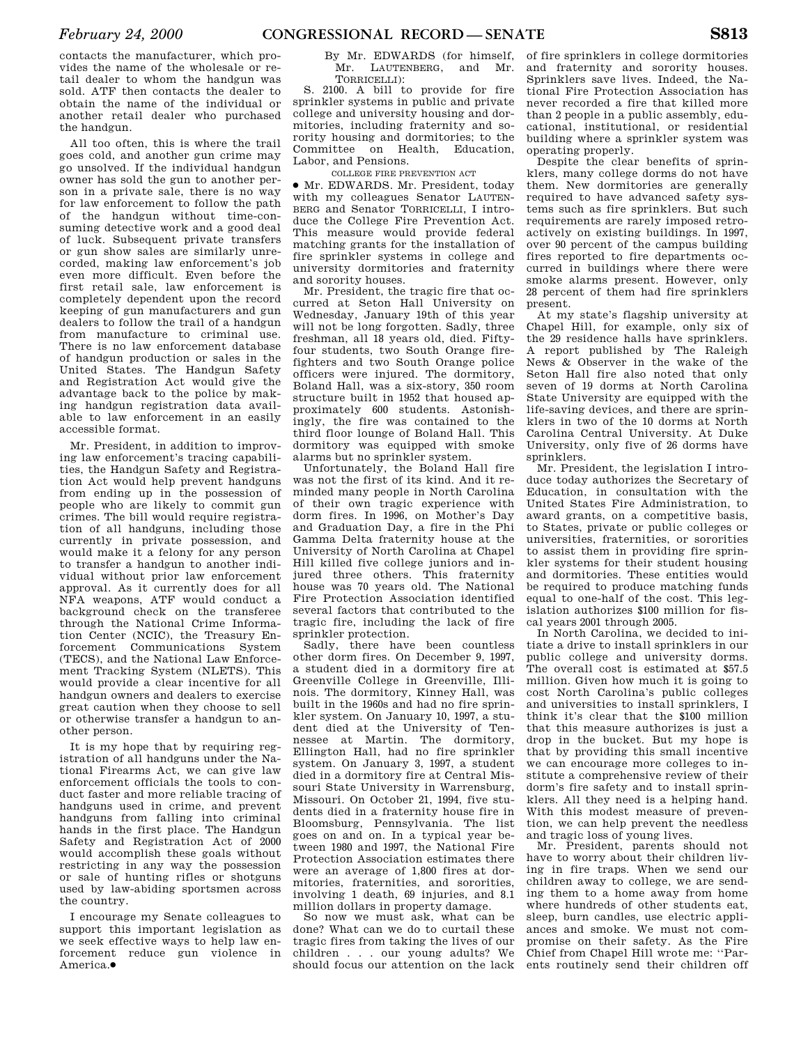contacts the manufacturer, which provides the name of the wholesale or retail dealer to whom the handgun was sold. ATF then contacts the dealer to obtain the name of the individual or another retail dealer who purchased the handgun.

All too often, this is where the trail goes cold, and another gun crime may go unsolved. If the individual handgun owner has sold the gun to another person in a private sale, there is no way for law enforcement to follow the path of the handgun without time-consuming detective work and a good deal of luck. Subsequent private transfers or gun show sales are similarly unrecorded, making law enforcement's job even more difficult. Even before the first retail sale, law enforcement is completely dependent upon the record keeping of gun manufacturers and gun dealers to follow the trail of a handgun from manufacture to criminal use. There is no law enforcement database of handgun production or sales in the United States. The Handgun Safety and Registration Act would give the advantage back to the police by making handgun registration data available to law enforcement in an easily accessible format.

Mr. President, in addition to improving law enforcement's tracing capabilities, the Handgun Safety and Registration Act would help prevent handguns from ending up in the possession of people who are likely to commit gun crimes. The bill would require registration of all handguns, including those currently in private possession, and would make it a felony for any person to transfer a handgun to another individual without prior law enforcement approval. As it currently does for all NFA weapons, ATF would conduct a background check on the transferee through the National Crime Information Center (NCIC), the Treasury Enforcement Communications System (TECS), and the National Law Enforcement Tracking System (NLETS). This would provide a clear incentive for all handgun owners and dealers to exercise great caution when they choose to sell or otherwise transfer a handgun to another person.

It is my hope that by requiring registration of all handguns under the National Firearms Act, we can give law enforcement officials the tools to conduct faster and more reliable tracing of handguns used in crime, and prevent handguns from falling into criminal hands in the first place. The Handgun Safety and Registration Act of 2000 would accomplish these goals without restricting in any way the possession or sale of hunting rifles or shotguns used by law-abiding sportsmen across the country.

I encourage my Senate colleagues to support this important legislation as we seek effective ways to help law enforcement reduce gun violence in America.∑

By Mr. EDWARDS (for himself, Mr. LAUTENBERG, and Mr. TORRICELLI):

S. 2100. A bill to provide for fire sprinkler systems in public and private college and university housing and dormitories, including fraternity and sorority housing and dormitories; to the Committee on Health, Education, Labor, and Pensions.

COLLEGE FIRE PREVENTION ACT

∑ Mr. EDWARDS. Mr. President, today with my colleagues Senator LAUTEN-BERG and Senator TORRICELLI, I introduce the College Fire Prevention Act. This measure would provide federal matching grants for the installation of fire sprinkler systems in college and university dormitories and fraternity and sorority houses.

Mr. President, the tragic fire that occurred at Seton Hall University on Wednesday, January 19th of this year will not be long forgotten. Sadly, three freshman, all 18 years old, died. Fiftyfour students, two South Orange firefighters and two South Orange police officers were injured. The dormitory, Boland Hall, was a six-story, 350 room structure built in 1952 that housed approximately 600 students. Astonishingly, the fire was contained to the third floor lounge of Boland Hall. This dormitory was equipped with smoke alarms but no sprinkler system.

Unfortunately, the Boland Hall fire was not the first of its kind. And it reminded many people in North Carolina of their own tragic experience with dorm fires. In 1996, on Mother's Day and Graduation Day, a fire in the Phi Gamma Delta fraternity house at the University of North Carolina at Chapel Hill killed five college juniors and injured three others. This fraternity house was 70 years old. The National Fire Protection Association identified several factors that contributed to the tragic fire, including the lack of fire sprinkler protection.

Sadly, there have been countless other dorm fires. On December 9, 1997, a student died in a dormitory fire at Greenville College in Greenville, Illinois. The dormitory, Kinney Hall, was built in the 1960s and had no fire sprinkler system. On January 10, 1997, a student died at the University of Tennessee at Martin. The dormitory, Ellington Hall, had no fire sprinkler system. On January 3, 1997, a student died in a dormitory fire at Central Missouri State University in Warrensburg, Missouri. On October 21, 1994, five students died in a fraternity house fire in Bloomsburg, Pennsylvania. The list goes on and on. In a typical year between 1980 and 1997, the National Fire Protection Association estimates there were an average of 1,800 fires at dormitories, fraternities, and sororities, involving 1 death, 69 injuries, and 8.1 million dollars in property damage.

So now we must ask, what can be done? What can we do to curtail these tragic fires from taking the lives of our children . . . our young adults? We should focus our attention on the lack

of fire sprinklers in college dormitories and fraternity and sorority houses. Sprinklers save lives. Indeed, the National Fire Protection Association has never recorded a fire that killed more than 2 people in a public assembly, educational, institutional, or residential building where a sprinkler system was operating properly.

Despite the clear benefits of sprinklers, many college dorms do not have them. New dormitories are generally required to have advanced safety systems such as fire sprinklers. But such requirements are rarely imposed retroactively on existing buildings. In 1997, over 90 percent of the campus building fires reported to fire departments occurred in buildings where there were smoke alarms present. However, only 28 percent of them had fire sprinklers present.

At my state's flagship university at Chapel Hill, for example, only six of the 29 residence halls have sprinklers. A report published by The Raleigh News & Observer in the wake of the Seton Hall fire also noted that only seven of 19 dorms at North Carolina State University are equipped with the life-saving devices, and there are sprinklers in two of the 10 dorms at North Carolina Central University. At Duke University, only five of 26 dorms have sprinklers.

Mr. President, the legislation I introduce today authorizes the Secretary of Education, in consultation with the United States Fire Administration, to award grants, on a competitive basis, to States, private or public colleges or universities, fraternities, or sororities to assist them in providing fire sprinkler systems for their student housing and dormitories. These entities would be required to produce matching funds equal to one-half of the cost. This legislation authorizes \$100 million for fiscal years 2001 through 2005.

In North Carolina, we decided to initiate a drive to install sprinklers in our public college and university dorms. The overall cost is estimated at \$57.5 million. Given how much it is going to cost North Carolina's public colleges and universities to install sprinklers, I think it's clear that the \$100 million that this measure authorizes is just a drop in the bucket. But my hope is that by providing this small incentive we can encourage more colleges to institute a comprehensive review of their dorm's fire safety and to install sprinklers. All they need is a helping hand. With this modest measure of prevention, we can help prevent the needless and tragic loss of young lives.

Mr. President, parents should not have to worry about their children living in fire traps. When we send our children away to college, we are sending them to a home away from home where hundreds of other students eat, sleep, burn candles, use electric appliances and smoke. We must not compromise on their safety. As the Fire Chief from Chapel Hill wrote me: ''Parents routinely send their children off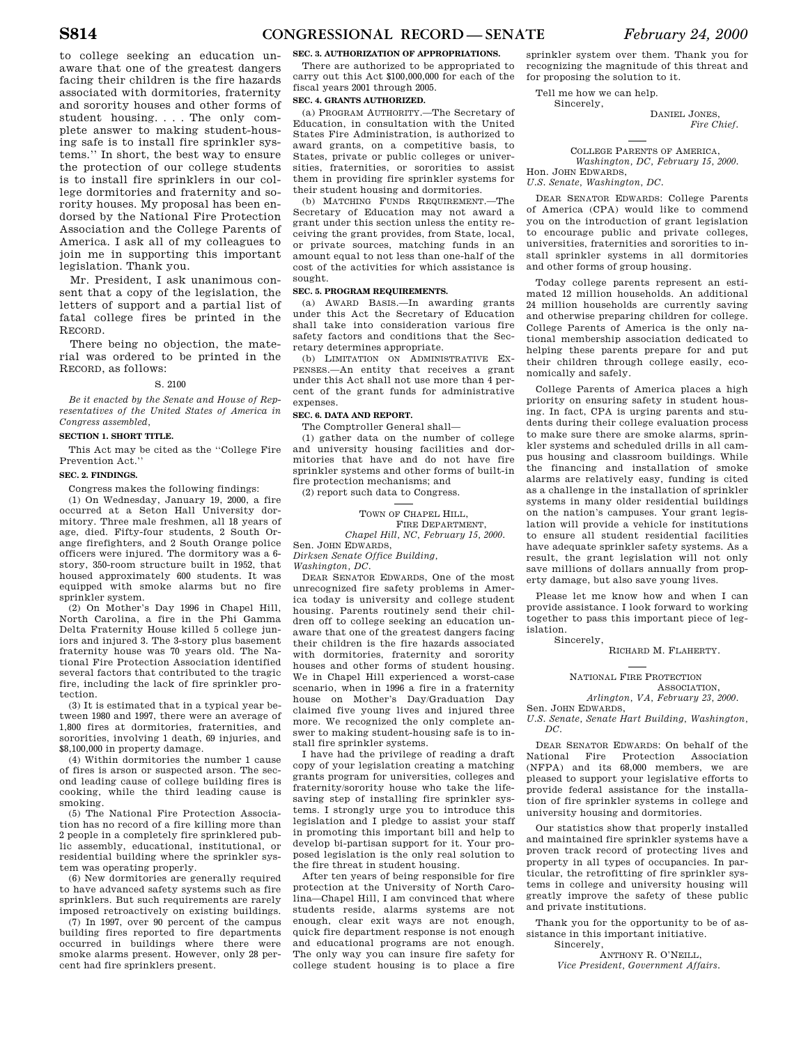to college seeking an education unaware that one of the greatest dangers facing their children is the fire hazards associated with dormitories, fraternity and sorority houses and other forms of student housing.... The only complete answer to making student-housing safe is to install fire sprinkler systems.'' In short, the best way to ensure the protection of our college students is to install fire sprinklers in our college dormitories and fraternity and sorority houses. My proposal has been endorsed by the National Fire Protection Association and the College Parents of America. I ask all of my colleagues to join me in supporting this important legislation. Thank you.

Mr. President, I ask unanimous consent that a copy of the legislation, the letters of support and a partial list of fatal college fires be printed in the RECORD.

There being no objection, the material was ordered to be printed in the RECORD, as follows:

# S. 2100

*Be it enacted by the Senate and House of Representatives of the United States of America in Congress assembled,* 

# **SECTION 1. SHORT TITLE.**

This Act may be cited as the ''College Fire Prevention Act.''

# **SEC. 2. FINDINGS.**

Congress makes the following findings:

(1) On Wednesday, January 19, 2000, a fire occurred at a Seton Hall University dormitory. Three male freshmen, all 18 years of age, died. Fifty-four students, 2 South Orange firefighters, and 2 South Orange police officers were injured. The dormitory was a 6 story, 350-room structure built in 1952, that housed approximately 600 students. It was equipped with smoke alarms but no fire sprinkler system.

(2) On Mother's Day 1996 in Chapel Hill, North Carolina, a fire in the Phi Gamma Delta Fraternity House killed 5 college juniors and injured 3. The 3-story plus basement fraternity house was 70 years old. The National Fire Protection Association identified several factors that contributed to the tragic fire, including the lack of fire sprinkler protection.

(3) It is estimated that in a typical year between 1980 and 1997, there were an average of 1,800 fires at dormitories, fraternities, and sororities, involving 1 death, 69 injuries, and \$8,100,000 in property damage.

(4) Within dormitories the number 1 cause of fires is arson or suspected arson. The second leading cause of college building fires is cooking, while the third leading cause is smoking.

(5) The National Fire Protection Association has no record of a fire killing more than 2 people in a completely fire sprinklered public assembly, educational, institutional, or residential building where the sprinkler system was operating properly.

(6) New dormitories are generally required to have advanced safety systems such as fire sprinklers. But such requirements are rarely imposed retroactively on existing buildings.

(7) In 1997, over 90 percent of the campus building fires reported to fire departments occurred in buildings where there were smoke alarms present. However, only 28 percent had fire sprinklers present.

# **SEC. 3. AUTHORIZATION OF APPROPRIATIONS.**

There are authorized to be appropriated to carry out this Act \$100,000,000 for each of the fiscal years 2001 through 2005.

# **SEC. 4. GRANTS AUTHORIZED.**

(a) PROGRAM AUTHORITY.—The Secretary of Education, in consultation with the United States Fire Administration, is authorized to award grants, on a competitive basis, to States, private or public colleges or universities, fraternities, or sororities to assist them in providing fire sprinkler systems for their student housing and dormitories.

(b) MATCHING FUNDS REQUIREMENT.—The Secretary of Education may not award a grant under this section unless the entity receiving the grant provides, from State, local, or private sources, matching funds in an amount equal to not less than one-half of the cost of the activities for which assistance is sought.

# **SEC. 5. PROGRAM REQUIREMENTS.**

(a) AWARD BASIS.—In awarding grants under this Act the Secretary of Education shall take into consideration various fire safety factors and conditions that the Secretary determines appropriate.

(b) LIMITATION ON ADMINISTRATIVE EX-PENSES.—An entity that receives a grant under this Act shall not use more than 4 percent of the grant funds for administrative expenses.

# **SEC. 6. DATA AND REPORT.**

The Comptroller General shall—

(1) gather data on the number of college and university housing facilities and dormitories that have and do not have fire sprinkler systems and other forms of built-in fire protection mechanisms; and

(2) report such data to Congress.

TOWN OF CHAPEL HILL, FIRE DEPARTMENT, *Chapel Hill, NC, February 15, 2000.*  Sen. JOHN EDWARDS,

*Dirksen Senate Office Building,* 

*Washington, DC.* 

DEAR SENATOR EDWARDS, One of the most unrecognized fire safety problems in America today is university and college student housing. Parents routinely send their children off to college seeking an education unaware that one of the greatest dangers facing their children is the fire hazards associated with dormitories, fraternity and sorority houses and other forms of student housing. We in Chapel Hill experienced a worst-case scenario, when in 1996 a fire in a fraternity house on Mother's Day/Graduation Day claimed five young lives and injured three more. We recognized the only complete answer to making student-housing safe is to install fire sprinkler systems.

I have had the privilege of reading a draft copy of your legislation creating a matching grants program for universities, colleges and fraternity/sorority house who take the lifesaving step of installing fire sprinkler systems. I strongly urge you to introduce this legislation and I pledge to assist your staff in promoting this important bill and help to develop bi-partisan support for it. Your proposed legislation is the only real solution to the fire threat in student housing.

After ten years of being responsible for fire protection at the University of North Carolina—Chapel Hill, I am convinced that where students reside, alarms systems are not enough, clear exit ways are not enough, quick fire department response is not enough and educational programs are not enough. The only way you can insure fire safety for college student housing is to place a fire

sprinkler system over them. Thank you for recognizing the magnitude of this threat and for proposing the solution to it.

Tell me how we can help. Sincerely,

DANIEL JONES, *Fire Chief.* 

COLLEGE PARENTS OF AMERICA, *Washington, DC, February 15, 2000.*  Hon. JOHN EDWARDS, *U.S. Senate, Washington, DC.* 

DEAR SENATOR EDWARDS: College Parents of America (CPA) would like to commend you on the introduction of grant legislation to encourage public and private colleges, universities, fraternities and sororities to install sprinkler systems in all dormitories and other forms of group housing.

Today college parents represent an estimated 12 million households. An additional 24 million households are currently saving and otherwise preparing children for college. College Parents of America is the only national membership association dedicated to helping these parents prepare for and put their children through college easily, economically and safely.

College Parents of America places a high priority on ensuring safety in student housing. In fact, CPA is urging parents and students during their college evaluation process to make sure there are smoke alarms, sprinkler systems and scheduled drills in all campus housing and classroom buildings. While the financing and installation of smoke alarms are relatively easy, funding is cited as a challenge in the installation of sprinkler systems in many older residential buildings on the nation's campuses. Your grant legislation will provide a vehicle for institutions to ensure all student residential facilities have adequate sprinkler safety systems. As a result, the grant legislation will not only save millions of dollars annually from property damage, but also save young lives.

Please let me know how and when I can provide assistance. I look forward to working together to pass this important piece of legislation.

Sincerely,

RICHARD M. FLAHERTY.

# NATIONAL FIRE PROTECTION ASSOCIATION,

*Arlington, VA, February 23, 2000.*  Sen. JOHN EDWARDS,

*U.S. Senate, Senate Hart Building, Washington, DC.* 

DEAR SENATOR EDWARDS: On behalf of the National Fire Protection Association (NFPA) and its 68,000 members, we are pleased to support your legislative efforts to provide federal assistance for the installation of fire sprinkler systems in college and university housing and dormitories.

Our statistics show that properly installed and maintained fire sprinkler systems have a proven track record of protecting lives and property in all types of occupancies. In particular, the retrofitting of fire sprinkler systems in college and university housing will greatly improve the safety of these public and private institutions.

Thank you for the opportunity to be of assistance in this important initiative.

Sincerely, ANTHONY R. O'NEILL, *Vice President, Government Affairs.*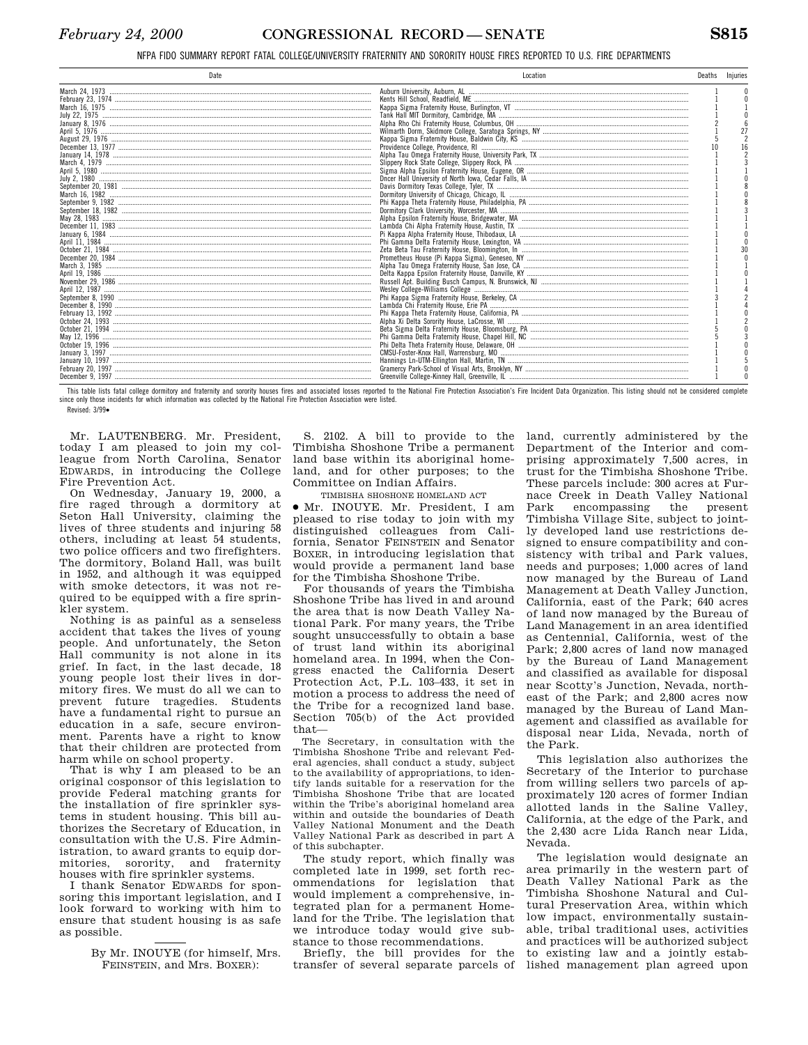# *February 24, 2000* **CONGRESSIONAL RECORD — SENATE S815**

| Date           | Location | Deaths | Iniuries |
|----------------|----------|--------|----------|
|                |          |        |          |
|                |          |        |          |
|                |          |        |          |
|                |          |        |          |
|                |          | 2      |          |
|                |          |        | 27       |
|                |          |        |          |
|                |          |        | 16       |
|                |          |        |          |
|                |          |        |          |
|                |          |        |          |
|                |          |        |          |
|                |          |        |          |
| March 16, 1982 |          |        |          |
|                |          |        |          |
|                |          |        |          |
| May 28, 1983   |          |        |          |
|                |          |        |          |
|                |          |        |          |
| April 11, 1984 |          |        |          |
|                |          |        |          |
|                |          |        |          |
|                |          |        |          |
|                |          |        |          |
|                |          |        |          |
|                |          |        |          |
|                |          |        |          |
|                |          |        |          |
|                |          |        |          |
|                |          |        |          |
|                |          |        |          |
|                |          |        |          |
|                |          |        |          |
|                |          |        |          |
|                |          |        |          |
|                |          |        |          |
|                |          |        |          |

This table lists fatal college dormitory and fraternity and somprity houses fires and associated losses reported to the National Fire Protection Association's Fire Incident Data Organization. This listing should not be con since only those incidents for which information was collected by the National Fire Protection Association were listed.

Revised: 3/99•

Mr. LAUTENBERG. Mr. President, today I am pleased to join my colleague from North Carolina, Senator EDWARDS, in introducing the College Fire Prevention Act.

On Wednesday, January 19, 2000, a fire raged through a dormitory at Seton Hall University, claiming the lives of three students and injuring 58 others, including at least 54 students, two police officers and two firefighters. The dormitory, Boland Hall, was built in 1952, and although it was equipped with smoke detectors, it was not required to be equipped with a fire sprinkler system.

Nothing is as painful as a senseless accident that takes the lives of young people. And unfortunately, the Seton Hall community is not alone in its grief. In fact, in the last decade, 18 young people lost their lives in dormitory fires. We must do all we can to prevent future tragedies. Students have a fundamental right to pursue an education in a safe, secure environment. Parents have a right to know that their children are protected from harm while on school property.

That is why I am pleased to be an original cosponsor of this legislation to provide Federal matching grants for the installation of fire sprinkler systems in student housing. This bill authorizes the Secretary of Education, in consultation with the U.S. Fire Administration, to award grants to equip dormitories, sorority, and fraternity houses with fire sprinkler systems.

I thank Senator EDWARDS for sponsoring this important legislation, and I look forward to working with him to ensure that student housing is as safe as possible.

> By Mr. INOUYE (for himself, Mrs. FEINSTEIN, and Mrs. BOXER):

S. 2102. A bill to provide to the Timbisha Shoshone Tribe a permanent land base within its aboriginal homeland, and for other purposes; to the Committee on Indian Affairs.

TIMBISHA SHOSHONE HOMELAND ACT

∑ Mr. INOUYE. Mr. President, I am pleased to rise today to join with my distinguished colleagues from California, Senator FEINSTEIN and Senator BOXER, in introducing legislation that would provide a permanent land base for the Timbisha Shoshone Tribe.

For thousands of years the Timbisha Shoshone Tribe has lived in and around the area that is now Death Valley National Park. For many years, the Tribe sought unsuccessfully to obtain a base of trust land within its aboriginal homeland area. In 1994, when the Congress enacted the California Desert Protection Act, P.L. 103–433, it set in motion a process to address the need of the Tribe for a recognized land base. Section 705(b) of the Act provided that—

The Secretary, in consultation with the Timbisha Shoshone Tribe and relevant Federal agencies, shall conduct a study, subject to the availability of appropriations, to identify lands suitable for a reservation for the Timbisha Shoshone Tribe that are located within the Tribe's aboriginal homeland area within and outside the boundaries of Death Valley National Monument and the Death Valley National Park as described in part A of this subchapter.

The study report, which finally was completed late in 1999, set forth recommendations for legislation that would implement a comprehensive, integrated plan for a permanent Homeland for the Tribe. The legislation that we introduce today would give substance to those recommendations.

Briefly, the bill provides for the transfer of several separate parcels of

land, currently administered by the Department of the Interior and comprising approximately 7,500 acres, in trust for the Timbisha Shoshone Tribe. These parcels include: 300 acres at Furnace Creek in Death Valley National Park encompassing the present Timbisha Village Site, subject to jointly developed land use restrictions designed to ensure compatibility and consistency with tribal and Park values, needs and purposes; 1,000 acres of land now managed by the Bureau of Land Management at Death Valley Junction, California, east of the Park; 640 acres of land now managed by the Bureau of Land Management in an area identified as Centennial, California, west of the Park; 2,800 acres of land now managed by the Bureau of Land Management and classified as available for disposal near Scotty's Junction, Nevada, northeast of the Park; and 2,800 acres now managed by the Bureau of Land Management and classified as available for disposal near Lida, Nevada, north of the Park.

This legislation also authorizes the Secretary of the Interior to purchase from willing sellers two parcels of approximately 120 acres of former Indian allotted lands in the Saline Valley, California, at the edge of the Park, and the 2,430 acre Lida Ranch near Lida, Nevada.

The legislation would designate an area primarily in the western part of Death Valley National Park as the Timbisha Shoshone Natural and Cultural Preservation Area, within which low impact, environmentally sustainable, tribal traditional uses, activities and practices will be authorized subject to existing law and a jointly established management plan agreed upon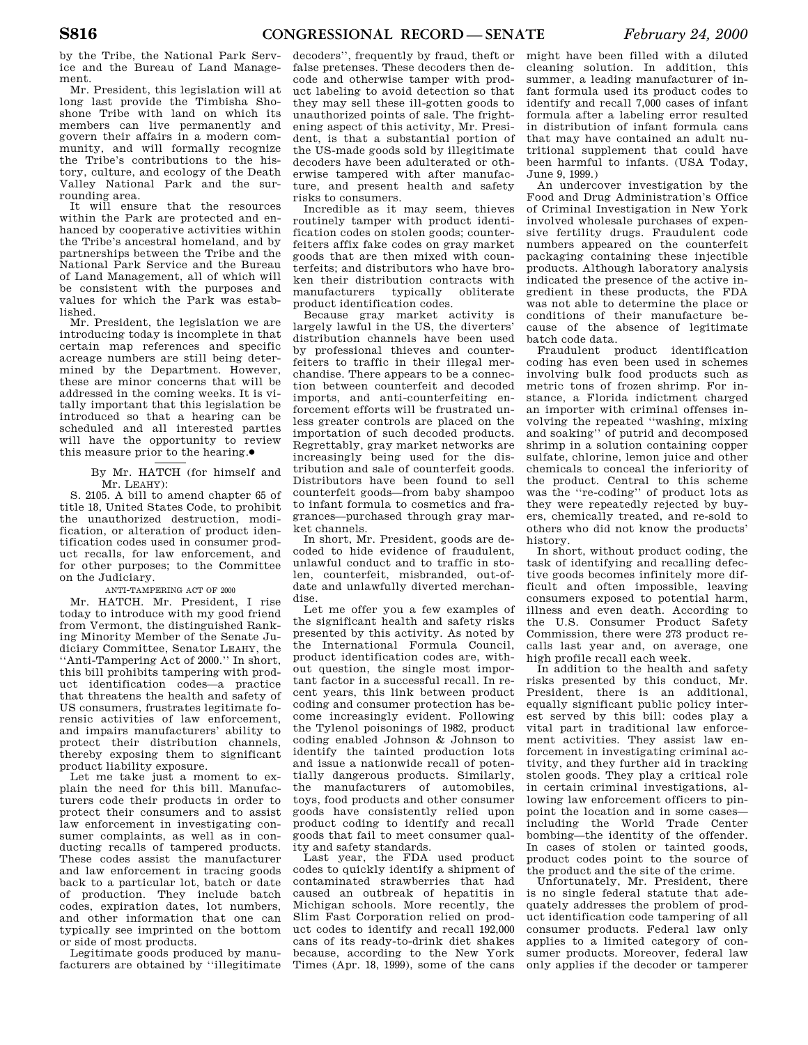by the Tribe, the National Park Service and the Bureau of Land Management.

Mr. President, this legislation will at long last provide the Timbisha Shoshone Tribe with land on which its members can live permanently and govern their affairs in a modern community, and will formally recognize the Tribe's contributions to the history, culture, and ecology of the Death Valley National Park and the surrounding area.

It will ensure that the resources within the Park are protected and enhanced by cooperative activities within the Tribe's ancestral homeland, and by partnerships between the Tribe and the National Park Service and the Bureau of Land Management, all of which will be consistent with the purposes and values for which the Park was established.

Mr. President, the legislation we are introducing today is incomplete in that certain map references and specific acreage numbers are still being determined by the Department. However, these are minor concerns that will be addressed in the coming weeks. It is vitally important that this legislation be introduced so that a hearing can be scheduled and all interested parties will have the opportunity to review this measure prior to the hearing.∑

> By Mr. HATCH (for himself and Mr. LEAHY):

S. 2105. A bill to amend chapter 65 of title 18, United States Code, to prohibit the unauthorized destruction, modification, or alteration of product identification codes used in consumer product recalls, for law enforcement, and for other purposes; to the Committee on the Judiciary.

ANTI-TAMPERING ACT OF 2000

Mr. HATCH. Mr. President, I rise today to introduce with my good friend from Vermont, the distinguished Ranking Minority Member of the Senate Judiciary Committee, Senator LEAHY, the ''Anti-Tampering Act of 2000.'' In short, this bill prohibits tampering with product identification codes—a practice that threatens the health and safety of US consumers, frustrates legitimate forensic activities of law enforcement, and impairs manufacturers' ability to protect their distribution channels, thereby exposing them to significant product liability exposure.

Let me take just a moment to explain the need for this bill. Manufacturers code their products in order to protect their consumers and to assist law enforcement in investigating consumer complaints, as well as in conducting recalls of tampered products. These codes assist the manufacturer and law enforcement in tracing goods back to a particular lot, batch or date of production. They include batch codes, expiration dates, lot numbers, and other information that one can typically see imprinted on the bottom or side of most products.

Legitimate goods produced by manufacturers are obtained by ''illegitimate

decoders'', frequently by fraud, theft or false pretenses. These decoders then decode and otherwise tamper with product labeling to avoid detection so that they may sell these ill-gotten goods to unauthorized points of sale. The frightening aspect of this activity, Mr. President, is that a substantial portion of the US-made goods sold by illegitimate decoders have been adulterated or otherwise tampered with after manufacture, and present health and safety risks to consumers.

Incredible as it may seem, thieves routinely tamper with product identification codes on stolen goods; counterfeiters affix fake codes on gray market goods that are then mixed with counterfeits; and distributors who have broken their distribution contracts with manufacturers typically obliterate product identification codes.

Because gray market activity is largely lawful in the US, the diverters' distribution channels have been used by professional thieves and counterfeiters to traffic in their illegal merchandise. There appears to be a connection between counterfeit and decoded imports, and anti-counterfeiting enforcement efforts will be frustrated unless greater controls are placed on the importation of such decoded products. Regrettably, gray market networks are increasingly being used for the distribution and sale of counterfeit goods. Distributors have been found to sell counterfeit goods—from baby shampoo to infant formula to cosmetics and fragrances—purchased through gray market channels.

In short, Mr. President, goods are decoded to hide evidence of fraudulent, unlawful conduct and to traffic in stolen, counterfeit, misbranded, out-ofdate and unlawfully diverted merchandise.

Let me offer you a few examples of the significant health and safety risks presented by this activity. As noted by the International Formula Council, product identification codes are, without question, the single most important factor in a successful recall. In recent years, this link between product coding and consumer protection has become increasingly evident. Following the Tylenol poisonings of 1982, product coding enabled Johnson & Johnson to identify the tainted production lots and issue a nationwide recall of potentially dangerous products. Similarly, the manufacturers of automobiles, toys, food products and other consumer goods have consistently relied upon product coding to identify and recall goods that fail to meet consumer quality and safety standards.

Last year, the FDA used product codes to quickly identify a shipment of contaminated strawberries that had caused an outbreak of hepatitis in Michigan schools. More recently, the Slim Fast Corporation relied on product codes to identify and recall 192,000 cans of its ready-to-drink diet shakes because, according to the New York Times (Apr. 18, 1999), some of the cans

might have been filled with a diluted cleaning solution. In addition, this summer, a leading manufacturer of infant formula used its product codes to identify and recall 7,000 cases of infant formula after a labeling error resulted in distribution of infant formula cans that may have contained an adult nutritional supplement that could have been harmful to infants. (USA Today, June 9, 1999.)

An undercover investigation by the Food and Drug Administration's Office of Criminal Investigation in New York involved wholesale purchases of expensive fertility drugs. Fraudulent code numbers appeared on the counterfeit packaging containing these injectible products. Although laboratory analysis indicated the presence of the active ingredient in these products, the FDA was not able to determine the place or conditions of their manufacture because of the absence of legitimate batch code data.

Fraudulent product identification coding has even been used in schemes involving bulk food products such as metric tons of frozen shrimp. For instance, a Florida indictment charged an importer with criminal offenses involving the repeated ''washing, mixing and soaking'' of putrid and decomposed shrimp in a solution containing copper sulfate, chlorine, lemon juice and other chemicals to conceal the inferiority of the product. Central to this scheme was the ''re-coding'' of product lots as they were repeatedly rejected by buyers, chemically treated, and re-sold to others who did not know the products' history.

In short, without product coding, the task of identifying and recalling defective goods becomes infinitely more difficult and often impossible, leaving consumers exposed to potential harm, illness and even death. According to the U.S. Consumer Product Safety Commission, there were 273 product recalls last year and, on average, one high profile recall each week.

In addition to the health and safety risks presented by this conduct, Mr. President, there is an additional, equally significant public policy interest served by this bill: codes play a vital part in traditional law enforcement activities. They assist law enforcement in investigating criminal activity, and they further aid in tracking stolen goods. They play a critical role in certain criminal investigations, allowing law enforcement officers to pinpoint the location and in some cases including the World Trade Center bombing—the identity of the offender. In cases of stolen or tainted goods, product codes point to the source of the product and the site of the crime.

Unfortunately, Mr. President, there is no single federal statute that adequately addresses the problem of product identification code tampering of all consumer products. Federal law only applies to a limited category of consumer products. Moreover, federal law only applies if the decoder or tamperer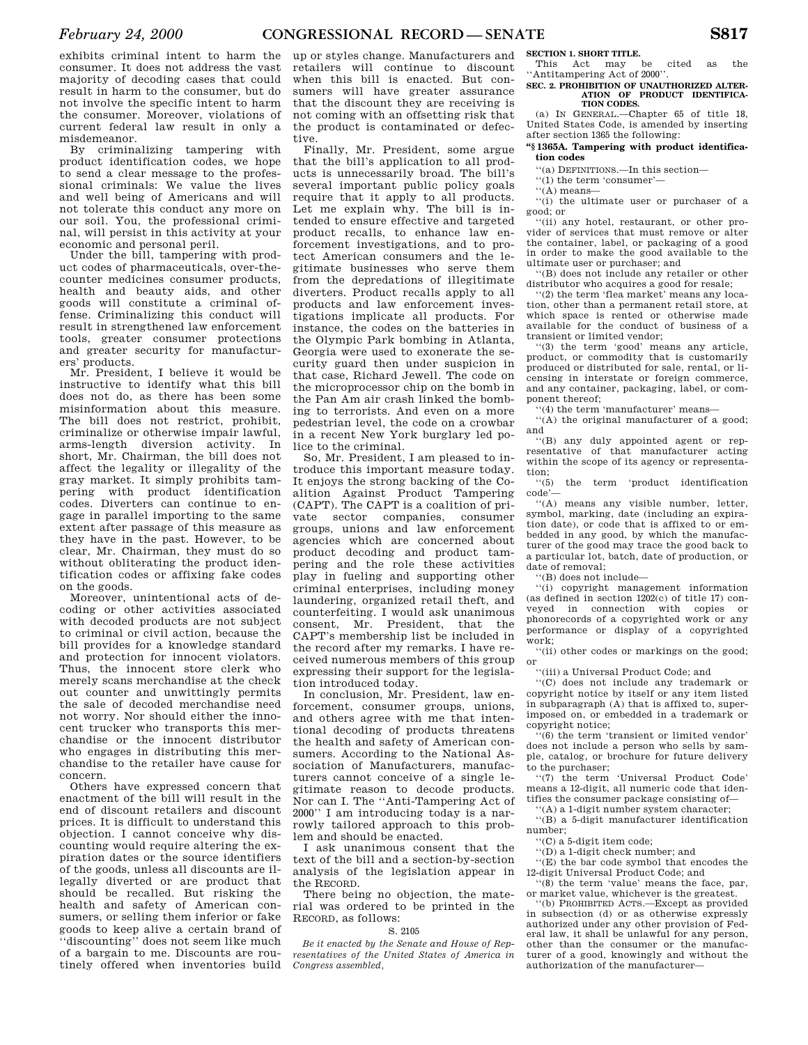exhibits criminal intent to harm the consumer. It does not address the vast majority of decoding cases that could result in harm to the consumer, but do not involve the specific intent to harm the consumer. Moreover, violations of current federal law result in only a misdemeanor.

By criminalizing tampering with product identification codes, we hope to send a clear message to the professional criminals: We value the lives and well being of Americans and will not tolerate this conduct any more on our soil. You, the professional criminal, will persist in this activity at your economic and personal peril.

Under the bill, tampering with product codes of pharmaceuticals, over-thecounter medicines consumer products, health and beauty aids, and other goods will constitute a criminal offense. Criminalizing this conduct will result in strengthened law enforcement tools, greater consumer protections and greater security for manufacturers' products.

Mr. President, I believe it would be instructive to identify what this bill does not do, as there has been some misinformation about this measure. The bill does not restrict, prohibit, criminalize or otherwise impair lawful, arms-length diversion activity. In short, Mr. Chairman, the bill does not affect the legality or illegality of the gray market. It simply prohibits tampering with product identification codes. Diverters can continue to engage in parallel importing to the same extent after passage of this measure as they have in the past. However, to be clear, Mr. Chairman, they must do so without obliterating the product identification codes or affixing fake codes on the goods.

Moreover, unintentional acts of decoding or other activities associated with decoded products are not subject to criminal or civil action, because the bill provides for a knowledge standard and protection for innocent violators. Thus, the innocent store clerk who merely scans merchandise at the check out counter and unwittingly permits the sale of decoded merchandise need not worry. Nor should either the innocent trucker who transports this merchandise or the innocent distributor who engages in distributing this merchandise to the retailer have cause for concern.

Others have expressed concern that enactment of the bill will result in the end of discount retailers and discount prices. It is difficult to understand this objection. I cannot conceive why discounting would require altering the expiration dates or the source identifiers of the goods, unless all discounts are illegally diverted or are product that should be recalled. But risking the health and safety of American consumers, or selling them inferior or fake goods to keep alive a certain brand of 'discounting'' does not seem like much of a bargain to me. Discounts are routinely offered when inventories build

up or styles change. Manufacturers and retailers will continue to discount when this bill is enacted. But consumers will have greater assurance that the discount they are receiving is not coming with an offsetting risk that the product is contaminated or defective.

Finally, Mr. President, some argue that the bill's application to all products is unnecessarily broad. The bill's several important public policy goals require that it apply to all products. Let me explain why. The bill is intended to ensure effective and targeted product recalls, to enhance law enforcement investigations, and to protect American consumers and the legitimate businesses who serve them from the depredations of illegitimate diverters. Product recalls apply to all products and law enforcement investigations implicate all products. For instance, the codes on the batteries in the Olympic Park bombing in Atlanta, Georgia were used to exonerate the security guard then under suspicion in that case, Richard Jewell. The code on the microprocessor chip on the bomb in the Pan Am air crash linked the bombing to terrorists. And even on a more pedestrian level, the code on a crowbar in a recent New York burglary led police to the criminal.

So, Mr. President, I am pleased to introduce this important measure today. It enjoys the strong backing of the Coalition Against Product Tampering (CAPT). The CAPT is a coalition of private sector companies, consumer groups, unions and law enforcement agencies which are concerned about product decoding and product tampering and the role these activities play in fueling and supporting other criminal enterprises, including money laundering, organized retail theft, and counterfeiting. I would ask unanimous consent, Mr. President, that the CAPT's membership list be included in the record after my remarks. I have received numerous members of this group expressing their support for the legislation introduced today.

In conclusion, Mr. President, law enforcement, consumer groups, unions, and others agree with me that intentional decoding of products threatens the health and safety of American consumers. According to the National Association of Manufacturers, manufacturers cannot conceive of a single legitimate reason to decode products. Nor can I. The ''Anti-Tampering Act of 2000'' I am introducing today is a narrowly tailored approach to this problem and should be enacted.

I ask unanimous consent that the text of the bill and a section-by-section analysis of the legislation appear in the RECORD.

There being no objection, the material was ordered to be printed in the RECORD, as follows:

### S. 2105

*Be it enacted by the Senate and House of Representatives of the United States of America in Congress assembled,* 

**SECTION 1. SHORT TITLE.**<br>This Act may be This Act may be cited as the ''Antitampering Act of 2000''.

#### **SEC. 2. PROHIBITION OF UNAUTHORIZED ALTER-ATION OF PRODUCT IDENTIFICA-TION CODES.**

(a) IN GENERAL.—Chapter 65 of title 18, United States Code, is amended by inserting after section 1365 the following:

# **''§ 1365A. Tampering with product identification codes**

''(a) DEFINITIONS.—In this section—

- ''(1) the term 'consumer'—
- $\lq\lq$ (A) means-

''(i) the ultimate user or purchaser of a good; or

''(ii) any hotel, restaurant, or other provider of services that must remove or alter the container, label, or packaging of a good in order to make the good available to the ultimate user or purchaser; and

''(B) does not include any retailer or other distributor who acquires a good for resale;

''(2) the term 'flea market' means any location, other than a permanent retail store, at which space is rented or otherwise made available for the conduct of business of a transient or limited vendor;

''(3) the term 'good' means any article, product, or commodity that is customarily produced or distributed for sale, rental, or licensing in interstate or foreign commerce, and any container, packaging, label, or component thereof;

''(4) the term 'manufacturer' means—

''(A) the original manufacturer of a good; and

''(B) any duly appointed agent or representative of that manufacturer acting within the scope of its agency or representation;

''(5) the term 'product identification code'—

''(A) means any visible number, letter, symbol, marking, date (including an expiration date), or code that is affixed to or embedded in any good, by which the manufacturer of the good may trace the good back to a particular lot, batch, date of production, or date of removal;

''(B) does not include—

''(i) copyright management information (as defined in section 1202(c) of title 17) conveyed in connection with copies or phonorecords of a copyrighted work or any performance or display of a copyrighted work;

''(ii) other codes or markings on the good; or

''(iii) a Universal Product Code; and

''(C) does not include any trademark or copyright notice by itself or any item listed in subparagraph (A) that is affixed to, superimposed on, or embedded in a trademark or copyright notice;

''(6) the term 'transient or limited vendor' does not include a person who sells by sample, catalog, or brochure for future delivery to the purchaser;

''(7) the term 'Universal Product Code' means a 12-digit, all numeric code that iden-

tifies the consumer package consisting of— ''(A) a 1-digit number system character;

''(B) a 5-digit manufacturer identification number;

''(C) a 5-digit item code;

''(D) a 1-digit check number; and

''(E) the bar code symbol that encodes the 12-digit Universal Product Code; and

''(8) the term 'value' means the face, par, or market value, whichever is the greatest.

''(b) PROHIBITED ACTS.—Except as provided in subsection (d) or as otherwise expressly authorized under any other provision of Federal law, it shall be unlawful for any person, other than the consumer or the manufacturer of a good, knowingly and without the authorization of the manufacturer—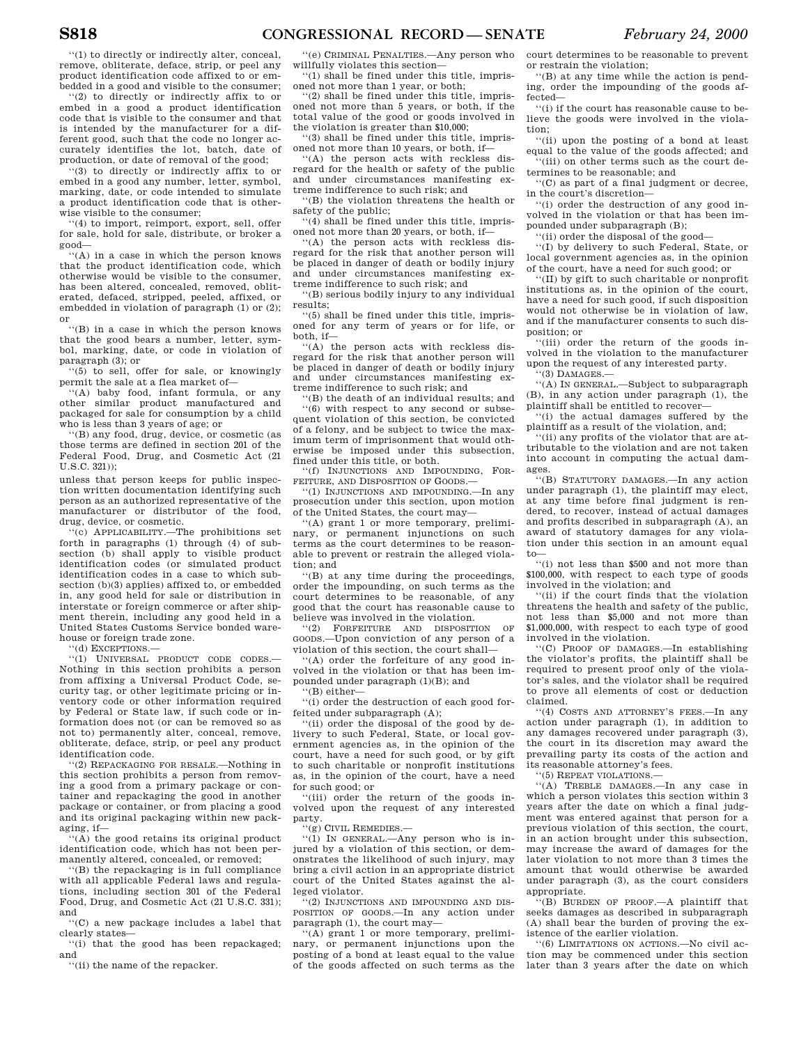''(1) to directly or indirectly alter, conceal, remove, obliterate, deface, strip, or peel any product identification code affixed to or embedded in a good and visible to the consumer;

''(2) to directly or indirectly affix to or embed in a good a product identification code that is visible to the consumer and that is intended by the manufacturer for a different good, such that the code no longer accurately identifies the lot, batch, date of production, or date of removal of the good;

''(3) to directly or indirectly affix to or embed in a good any number, letter, symbol, marking, date, or code intended to simulate a product identification code that is otherwise visible to the consumer;

 $(4)$  to import, reimport, export, sell, offer for sale, hold for sale, distribute, or broker a good—

''(A) in a case in which the person knows that the product identification code, which otherwise would be visible to the consumer, has been altered, concealed, removed, obliterated, defaced, stripped, peeled, affixed, or embedded in violation of paragraph (1) or (2); or

''(B) in a case in which the person knows that the good bears a number, letter, symbol, marking, date, or code in violation of paragraph (3); or

''(5) to sell, offer for sale, or knowingly permit the sale at a flea market of—

''(A) baby food, infant formula, or any other similar product manufactured and packaged for sale for consumption by a child who is less than 3 years of age; or

''(B) any food, drug, device, or cosmetic (as those terms are defined in section 201 of the Federal Food, Drug, and Cosmetic Act (21 U.S.C. 321));

unless that person keeps for public inspection written documentation identifying such person as an authorized representative of the manufacturer or distributor of the food, drug, device, or cosmetic.

''(c) APPLICABILITY.—The prohibitions set forth in paragraphs (1) through (4) of subsection (b) shall apply to visible product identification codes (or simulated product identification codes in a case to which subsection (b)(3) applies) affixed to, or embedded in, any good held for sale or distribution in interstate or foreign commerce or after shipment therein, including any good held in a United States Customs Service bonded warehouse or foreign trade zone.

'(d) EXCEPTIONS.-

''(1) UNIVERSAL PRODUCT CODE CODES.— Nothing in this section prohibits a person from affixing a Universal Product Code, security tag, or other legitimate pricing or inventory code or other information required by Federal or State law, if such code or information does not (or can be removed so as not to) permanently alter, conceal, remove, obliterate, deface, strip, or peel any product identification code.

''(2) REPACKAGING FOR RESALE.—Nothing in this section prohibits a person from removing a good from a primary package or container and repackaging the good in another package or container, or from placing a good and its original packaging within new packaging, if—

''(A) the good retains its original product identification code, which has not been permanently altered, concealed, or removed;

''(B) the repackaging is in full compliance with all applicable Federal laws and regulations, including section 301 of the Federal Food, Drug, and Cosmetic Act (21 U.S.C. 331); and

''(C) a new package includes a label that clearly states—

''(i) that the good has been repackaged; and

''(ii) the name of the repacker.

'(e) CRIMINAL PENALTIES.-Any person who willfully violates this section—

''(1) shall be fined under this title, imprisoned not more than 1 year, or both;

''(2) shall be fined under this title, imprisoned not more than 5 years, or both, if the total value of the good or goods involved in the violation is greater than \$10,000;

''(3) shall be fined under this title, imprisoned not more than 10 years, or both, if—

''(A) the person acts with reckless disregard for the health or safety of the public and under circumstances manifesting extreme indifference to such risk; and

''(B) the violation threatens the health or safety of the public;

''(4) shall be fined under this title, imprisoned not more than 20 years, or both, if—

''(A) the person acts with reckless disregard for the risk that another person will be placed in danger of death or bodily injury and under circumstances manifesting extreme indifference to such risk; and

''(B) serious bodily injury to any individual results;

''(5) shall be fined under this title, imprisoned for any term of years or for life, or both, if—

 $\frac{1}{2}$ (A) the person acts with reckless disregard for the risk that another person will be placed in danger of death or bodily injury and under circumstances manifesting extreme indifference to such risk; and

''(B) the death of an individual results; and ''(6) with respect to any second or subsequent violation of this section, be convicted of a felony, and be subject to twice the maximum term of imprisonment that would otherwise be imposed under this subsection, fined under this title, or both.

''(f) INJUNCTIONS AND IMPOUNDING, FOR-FEITURE, AND DISPOSITION OF GOODS.

''(1) INJUNCTIONS AND IMPOUNDING.—In any prosecution under this section, upon motion of the United States, the court may—

''(A) grant 1 or more temporary, preliminary, or permanent injunctions on such terms as the court determines to be reasonable to prevent or restrain the alleged violation; and

''(B) at any time during the proceedings, order the impounding, on such terms as the court determines to be reasonable, of any good that the court has reasonable cause to believe was involved in the violation.

''(2) FORFEITURE AND DISPOSITION OF GOODS.—Upon conviction of any person of a violation of this section, the court shall—

''(A) order the forfeiture of any good involved in the violation or that has been impounded under paragraph (1)(B); and

''(B) either—

''(i) order the destruction of each good forfeited under subparagraph (A);

''(ii) order the disposal of the good by delivery to such Federal, State, or local government agencies as, in the opinion of the court, have a need for such good, or by gift to such charitable or nonprofit institutions as, in the opinion of the court, have a need for such good; or

''(iii) order the return of the goods involved upon the request of any interested party.

''(g) CIVIL REMEDIES.—

''(1) IN GENERAL.—Any person who is injured by a violation of this section, or demonstrates the likelihood of such injury, may bring a civil action in an appropriate district court of the United States against the alleged violator.

''(2) INJUNCTIONS AND IMPOUNDING AND DIS-POSITION OF GOODS.—In any action under paragraph (1), the court may—

''(A) grant 1 or more temporary, preliminary, or permanent injunctions upon the posting of a bond at least equal to the value of the goods affected on such terms as the court determines to be reasonable to prevent or restrain the violation;

''(B) at any time while the action is pending, order the impounding of the goods affected—

''(i) if the court has reasonable cause to believe the goods were involved in the violation;

''(ii) upon the posting of a bond at least equal to the value of the goods affected; and ''(iii) on other terms such as the court determines to be reasonable; and

''(C) as part of a final judgment or decree, in the court's discretion—

''(i) order the destruction of any good involved in the violation or that has been impounded under subparagraph (B);

''(ii) order the disposal of the good—

''(I) by delivery to such Federal, State, or local government agencies as, in the opinion of the court, have a need for such good; or

''(II) by gift to such charitable or nonprofit institutions as, in the opinion of the court, have a need for such good, if such disposition would not otherwise be in violation of law, and if the manufacturer consents to such disposition; or

'(iii) order the return of the goods involved in the violation to the manufacturer upon the request of any interested party. ''(3) DAMAGES.—

 $''(A)$  IN GENERAL.—Subject to subparagraph (B), in any action under paragraph (1), the plaintiff shall be entitled to recover—

''(i) the actual damages suffered by the plaintiff as a result of the violation, and;

''(ii) any profits of the violator that are attributable to the violation and are not taken into account in computing the actual damages.

''(B) STATUTORY DAMAGES.—In any action under paragraph (1), the plaintiff may elect, at any time before final judgment is rendered, to recover, instead of actual damages and profits described in subparagraph (A), an award of statutory damages for any violation under this section in an amount equal to—

''(i) not less than \$500 and not more than \$100,000, with respect to each type of goods involved in the violation; and

''(ii) if the court finds that the violation threatens the health and safety of the public, not less than \$5,000 and not more than \$1,000,000, with respect to each type of good involved in the violation.

''(C) PROOF OF DAMAGES.—In establishing the violator's profits, the plaintiff shall be required to present proof only of the violator's sales, and the violator shall be required to prove all elements of cost or deduction claimed.

''(4) COSTS AND ATTORNEY'S FEES.—In any action under paragraph (1), in addition to any damages recovered under paragraph (3), the court in its discretion may award the prevailing party its costs of the action and its reasonable attorney's fees.

''(5) REPEAT VIOLATIONS.—

''(A) TREBLE DAMAGES.—In any case in which a person violates this section within 3 years after the date on which a final judgment was entered against that person for a previous violation of this section, the court, in an action brought under this subsection, may increase the award of damages for the later violation to not more than 3 times the amount that would otherwise be awarded under paragraph (3), as the court considers appropriate.

''(B) BURDEN OF PROOF.—A plaintiff that seeks damages as described in subparagraph (A) shall bear the burden of proving the existence of the earlier violation.

''(6) LIMITATIONS ON ACTIONS.—No civil action may be commenced under this section later than 3 years after the date on which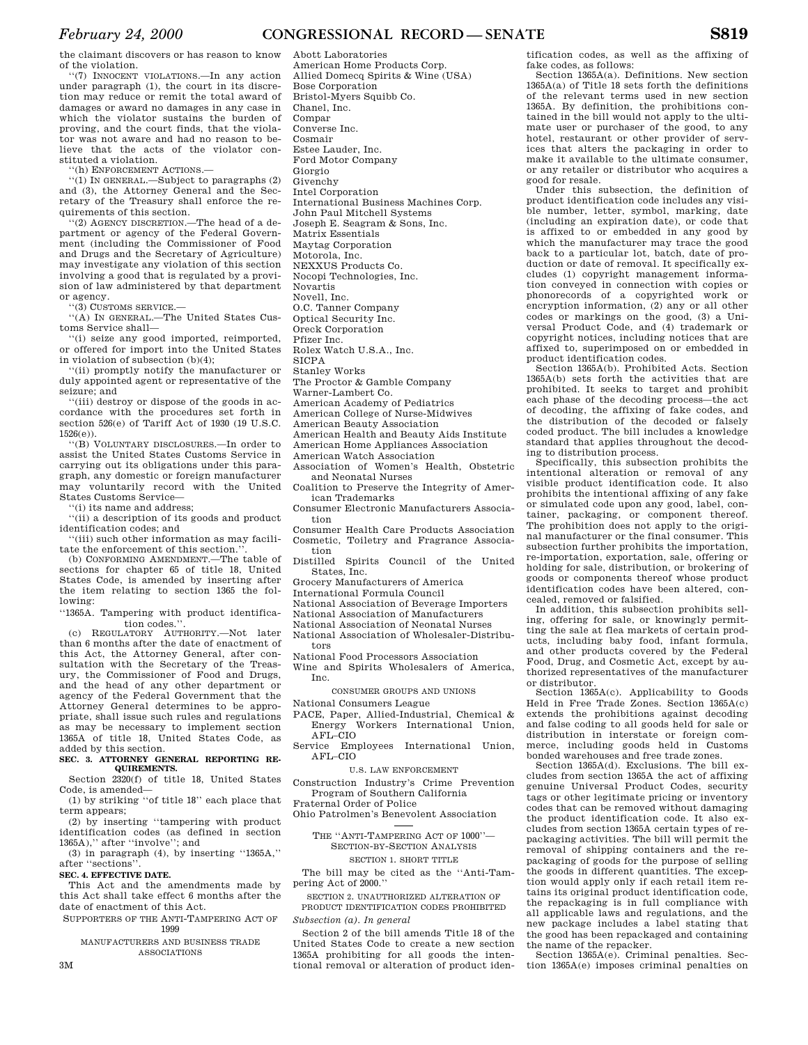Abott Laboratories

Bose Corporation Bristol-Myers Squibb Co.

Matrix Essentials Maytag Corporation Motorola, Inc. NEXXUS Products Co. Nocopi Technologies, Inc.

O.C. Tanner Company Optical Security Inc. Oreck Corporation Pfizer Inc.

Rolex Watch U.S.A., Inc.

Warner-Lambert Co.

The Proctor & Gamble Company

American Academy of Pediatrics American College of Nurse-Midwives American Beauty Association

American Watch Association

and Neonatal Nurses

ican Trademarks

tion

tion

States, Inc.

American Health and Beauty Aids Institute American Home Appliances Association

Association of Women's Health, Obstetric

Coalition to Preserve the Integrity of Amer-

Consumer Electronic Manufacturers Associa-

Consumer Health Care Products Association Cosmetic, Toiletry and Fragrance Associa-

Distilled Spirits Council of the United

National Association of Beverage Importers

Chanel, Inc. Compar Converse Inc. Cosmair Estee Lauder, Inc. Ford Motor Company

Giorgio Givenchy Intel Corporation

Novartis Novell, Inc.

SICPA Stanley Works

American Home Products Corp. Allied Domecq Spirits & Wine (USA)

International Business Machines Corp.

John Paul Mitchell Systems Joseph E. Seagram & Sons, Inc.

the claimant discovers or has reason to know of the violation.

''(7) INNOCENT VIOLATIONS.—In any action under paragraph (1), the court in its discretion may reduce or remit the total award of damages or award no damages in any case in which the violator sustains the burden of proving, and the court finds, that the violator was not aware and had no reason to believe that the acts of the violator constituted a violation.

''(h) ENFORCEMENT ACTIONS.—

''(1) IN GENERAL.—Subject to paragraphs (2) and (3), the Attorney General and the Secretary of the Treasury shall enforce the requirements of this section.

''(2) AGENCY DISCRETION.—The head of a department or agency of the Federal Government (including the Commissioner of Food and Drugs and the Secretary of Agriculture) may investigate any violation of this section involving a good that is regulated by a provision of law administered by that department or agency.

'(3) CUSTOMS SERVICE.-

''(A) IN GENERAL.—The United States Customs Service shall—

''(i) seize any good imported, reimported, or offered for import into the United States in violation of subsection (b)(4);

''(ii) promptly notify the manufacturer or duly appointed agent or representative of the seizure; and

''(iii) destroy or dispose of the goods in accordance with the procedures set forth in section 526(e) of Tariff Act of 1930 (19 U.S.C.

1526(e)). ''(B) VOLUNTARY DISCLOSURES.—In order to assist the United States Customs Service in carrying out its obligations under this paragraph, any domestic or foreign manufacturer may voluntarily record with the United States Customs Service—

''(i) its name and address;

''(ii) a description of its goods and product identification codes; and

''(iii) such other information as may facilitate the enforcement of this section.'

(b) CONFORMING AMENDMENT.—The table of sections for chapter 65 of title 18, United States Code, is amended by inserting after the item relating to section 1365 the following:

''1365A. Tampering with product identifica-

tion codes.''. (c) REGULATORY AUTHORITY.—Not later than 6 months after the date of enactment of this Act, the Attorney General, after consultation with the Secretary of the Treasury, the Commissioner of Food and Drugs, and the head of any other department or agency of the Federal Government that the Attorney General determines to be appropriate, shall issue such rules and regulations as may be necessary to implement section 1365A of title 18, United States Code, as added by this section.

## **SEC. 3. ATTORNEY GENERAL REPORTING RE-QUIREMENTS.**

Section 2320(f) of title 18, United States Code, is amended—

(1) by striking ''of title 18'' each place that term appears;

(2) by inserting ''tampering with product identification codes (as defined in section 1365A),'' after ''involve''; and

(3) in paragraph (4), by inserting ''1365A,'' after ''sections''.

## **SEC. 4. EFFECTIVE DATE.**

This Act and the amendments made by this Act shall take effect 6 months after the date of enactment of this Act.

SUPPORTERS OF THE ANTI-TAMPERING ACT OF 1999

MANUFACTURERS AND BUSINESS TRADE ASSOCIATIONS

Section 2 of the bill amends Title 18 of the United States Code to create a new section 1365A prohibiting for all goods the intentional removal or alteration of product iden-

tification codes, as well as the affixing of fake codes, as follows: Section 1365A(a). Definitions. New section 1365A(a) of Title 18 sets forth the definitions of the relevant terms used in new section 1365A. By definition, the prohibitions contained in the bill would not apply to the ultimate user or purchaser of the good, to any hotel, restaurant or other provider of services that alters the packaging in order to make it available to the ultimate consumer,

or any retailer or distributor who acquires a good for resale.

Under this subsection, the definition of product identification code includes any visible number, letter, symbol, marking, date (including an expiration date), or code that is affixed to or embedded in any good by which the manufacturer may trace the good back to a particular lot, batch, date of production or date of removal. It specifically excludes (1) copyright management information conveyed in connection with copies or phonorecords of a copyrighted work or encryption information, (2) any or all other codes or markings on the good, (3) a Universal Product Code, and (4) trademark or copyright notices, including notices that are affixed to, superimposed on or embedded in product identification codes.

Section 1365A(b). Prohibited Acts. Section 1365A(b) sets forth the activities that are prohibited. It seeks to target and prohibit each phase of the decoding process—the act of decoding, the affixing of fake codes, and the distribution of the decoded or falsely coded product. The bill includes a knowledge standard that applies throughout the decoding to distribution process.

Specifically, this subsection prohibits the intentional alteration or removal of any visible product identification code. It also prohibits the intentional affixing of any fake or simulated code upon any good, label, container, packaging, or component thereof. The prohibition does not apply to the original manufacturer or the final consumer. This subsection further prohibits the importation, re-importation, exportation, sale, offering or holding for sale, distribution, or brokering of goods or components thereof whose product identification codes have been altered, concealed, removed or falsified.

In addition, this subsection prohibits selling, offering for sale, or knowingly permitting the sale at flea markets of certain products, including baby food, infant formula, and other products covered by the Federal Food, Drug, and Cosmetic Act, except by authorized representatives of the manufacturer or distributor.

Section 1365A(c). Applicability to Goods Held in Free Trade Zones. Section 1365A(c) extends the prohibitions against decoding and false coding to all goods held for sale or distribution in interstate or foreign commerce, including goods held in Customs bonded warehouses and free trade zones.

Section 1365A(d). Exclusions. The bill excludes from section 1365A the act of affixing genuine Universal Product Codes, security tags or other legitimate pricing or inventory codes that can be removed without damaging the product identification code. It also excludes from section 1365A certain types of repackaging activities. The bill will permit the removal of shipping containers and the repackaging of goods for the purpose of selling the goods in different quantities. The exception would apply only if each retail item retains its original product identification code, the repackaging is in full compliance with all applicable laws and regulations, and the new package includes a label stating that the good has been repackaged and containing the name of the repacker.

Section 1365A(e). Criminal penalties. Section 1365A(e) imposes criminal penalties on

3M

Program of Southern California

Ohio Patrolmen's Benevolent Association

# THE "ANTI-TAMPERING ACT OF 1000"

pering Act of 2000."

SECTION 2. UNAUTHORIZED ALTERATION OF PRODUCT IDENTIFICATION CODES PROHIBITED

*Subsection (a). In general* 

National Association of Manufacturers National Association of Neonatal Nurses National Association of Wholesaler-Distributors

Grocery Manufacturers of America International Formula Council

National Food Processors Association Wine and Spirits Wholesalers of America, Inc.

# CONSUMER GROUPS AND UNIONS

National Consumers League

PACE, Paper, Allied-Industrial, Chemical & Energy Workers International Union, AFL–CIO

Service Employees International Union, AFL–CIO

# U.S. LAW ENFORCEMENT

Construction Industry's Crime Prevention

Fraternal Order of Police

# SECTION-BY-SECTION ANALYSIS

# SECTION 1. SHORT TITLE

The bill may be cited as the ''Anti-Tam-